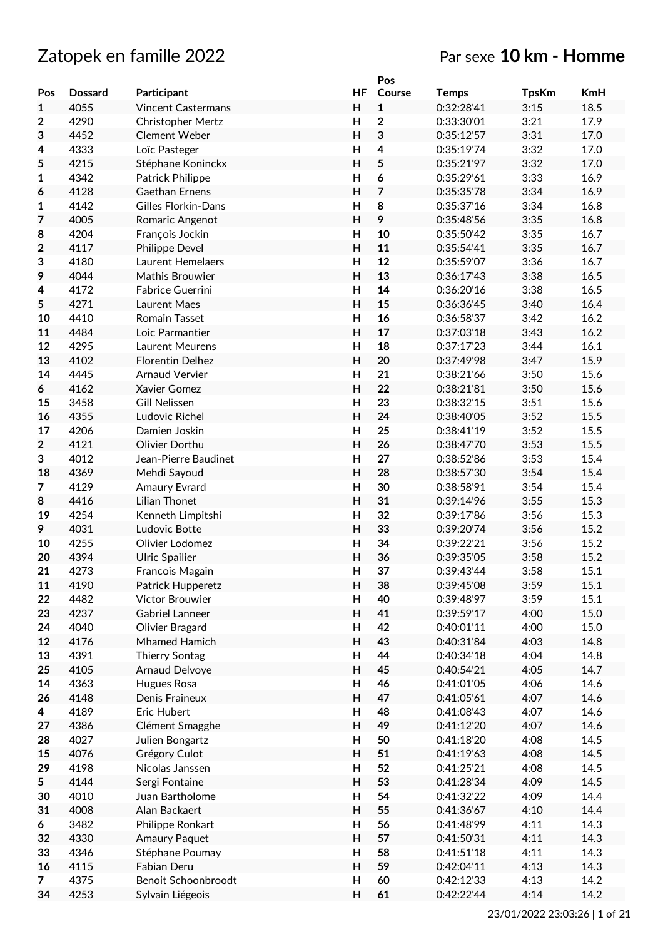# Zatopek en famille 2022 **Par sexe 10 km - Homme**

|                  |                |                            |                | Pos          |              |              |            |
|------------------|----------------|----------------------------|----------------|--------------|--------------|--------------|------------|
| Pos              | <b>Dossard</b> | Participant                | HF             | Course       | <b>Temps</b> | <b>TpsKm</b> | <b>KmH</b> |
| $\mathbf{1}$     | 4055           | <b>Vincent Castermans</b>  | H              | $\mathbf{1}$ | 0:32:28'41   | 3:15         | 18.5       |
| $\boldsymbol{2}$ | 4290           | <b>Christopher Mertz</b>   | $\mathsf{H}$   | $\mathbf 2$  | 0:33:30'01   | 3:21         | 17.9       |
| 3                | 4452           | Clement Weber              | $\overline{H}$ | 3            | 0:35:12'57   | 3:31         | 17.0       |
| 4                | 4333           | Loïc Pasteger              | H              | 4            | 0:35:19'74   | 3:32         | 17.0       |
| 5                | 4215           | Stéphane Koninckx          | H              | 5            | 0:35:21'97   | 3:32         | 17.0       |
|                  | 4342           |                            | H              |              | 0:35:29'61   | 3:33         | 16.9       |
| 1                |                | Patrick Philippe           |                | 6            |              |              |            |
| 6                | 4128           | Gaethan Ernens             | H              | 7            | 0:35:35'78   | 3:34         | 16.9       |
| 1                | 4142           | <b>Gilles Florkin-Dans</b> | $\mathsf{H}$   | 8            | 0:35:37'16   | 3:34         | 16.8       |
| 7                | 4005           | Romaric Angenot            | H              | 9            | 0:35:48'56   | 3:35         | 16.8       |
| 8                | 4204           | François Jockin            | H              | 10           | 0:35:50'42   | 3:35         | 16.7       |
| $\mathbf 2$      | 4117           | <b>Philippe Devel</b>      | H              | 11           | 0:35:54'41   | 3:35         | 16.7       |
| 3                | 4180           | Laurent Hemelaers          | H              | 12           | 0:35:59'07   | 3:36         | 16.7       |
| 9                | 4044           | Mathis Brouwier            | H              | 13           | 0:36:17'43   | 3:38         | 16.5       |
| 4                | 4172           | <b>Fabrice Guerrini</b>    | H              | 14           | 0:36:20'16   | 3:38         | 16.5       |
| 5                | 4271           | Laurent Maes               | H              | 15           | 0:36:36'45   | 3:40         | 16.4       |
| 10               | 4410           | <b>Romain Tasset</b>       | H              | 16           | 0:36:58'37   | 3:42         | 16.2       |
| 11               | 4484           | Loic Parmantier            | Н              | 17           | 0:37:03'18   | 3:43         | 16.2       |
|                  |                |                            |                |              |              |              |            |
| 12               | 4295           | Laurent Meurens            | H              | 18           | 0:37:17'23   | 3:44         | 16.1       |
| 13               | 4102           | <b>Florentin Delhez</b>    | Н              | 20           | 0:37:49'98   | 3:47         | 15.9       |
| 14               | 4445           | <b>Arnaud Vervier</b>      | $\mathsf{H}$   | 21           | 0:38:21'66   | 3:50         | 15.6       |
| 6                | 4162           | <b>Xavier Gomez</b>        | H              | 22           | 0:38:21'81   | 3:50         | 15.6       |
| 15               | 3458           | <b>Gill Nelissen</b>       | H              | 23           | 0:38:32'15   | 3:51         | 15.6       |
| 16               | 4355           | Ludovic Richel             | H              | 24           | 0:38:40'05   | 3:52         | 15.5       |
| 17               | 4206           | Damien Joskin              | H              | 25           | 0:38:41'19   | 3:52         | 15.5       |
| $\overline{2}$   | 4121           | Olivier Dorthu             | H              | 26           | 0:38:47'70   | 3:53         | 15.5       |
| 3                | 4012           | Jean-Pierre Baudinet       | H              | 27           | 0:38:52'86   | 3:53         | 15.4       |
| 18               | 4369           | Mehdi Sayoud               | $\mathsf{H}$   | 28           | 0:38:57'30   | 3:54         | 15.4       |
| 7                | 4129           | <b>Amaury Evrard</b>       | H              | 30           | 0:38:58'91   | 3:54         | 15.4       |
| 8                | 4416           | <b>Lilian Thonet</b>       | Н              | 31           | 0:39:14'96   | 3:55         | 15.3       |
| 19               | 4254           |                            | H              | 32           | 0:39:17'86   | 3:56         | 15.3       |
|                  |                | Kenneth Limpitshi          |                |              |              |              |            |
| 9                | 4031           | Ludovic Botte              | H              | 33           | 0:39:20'74   | 3:56         | 15.2       |
| 10               | 4255           | Olivier Lodomez            | H              | 34           | 0:39:22'21   | 3:56         | 15.2       |
| 20               | 4394           | <b>Ulric Spailier</b>      | H              | 36           | 0:39:35'05   | 3:58         | 15.2       |
| 21               | 4273           | Francois Magain            | Η              | 37           | 0:39:43'44   | 3:58         | 15.1       |
| 11               | 4190           | Patrick Hupperetz          | H              | 38           | 0:39:45'08   | 3:59         | 15.1       |
| 22               | 4482           | Victor Brouwier            | H              | 40           | 0:39:48'97   | 3:59         | 15.1       |
| 23               | 4237           | <b>Gabriel Lanneer</b>     | H              | 41           | 0:39:59'17   | 4:00         | 15.0       |
| 24               | 4040           | Olivier Bragard            | H              | 42           | 0:40:01'11   | 4:00         | 15.0       |
| 12               | 4176           | Mhamed Hamich              | Н              | 43           | 0:40:31'84   | 4:03         | 14.8       |
| 13               | 4391           | Thierry Sontag             | Н              | 44           | 0:40:34'18   | 4:04         | 14.8       |
| 25               | 4105           | Arnaud Delvoye             | Н              | 45           | 0:40:54'21   | 4:05         | 14.7       |
| 14               | 4363           | Hugues Rosa                | H              | 46           | 0:41:01'05   | 4:06         | 14.6       |
| 26               | 4148           | Denis Fraineux             | Н              | 47           | 0:41:05'61   | 4:07         | 14.6       |
|                  |                |                            |                |              | 0:41:08'43   |              |            |
| 4                | 4189           | Eric Hubert                | Н              | 48           |              | 4:07         | 14.6       |
| 27               | 4386           | Clément Smagghe            | H              | 49           | 0:41:12'20   | 4:07         | 14.6       |
| 28               | 4027           | Julien Bongartz            | H              | 50           | 0:41:18'20   | 4:08         | 14.5       |
| 15               | 4076           | Grégory Culot              | H              | 51           | 0:41:19'63   | 4:08         | 14.5       |
| 29               | 4198           | Nicolas Janssen            | H              | 52           | 0:41:25'21   | 4:08         | 14.5       |
| 5                | 4144           | Sergi Fontaine             | Н              | 53           | 0:41:28'34   | 4:09         | 14.5       |
| 30               | 4010           | Juan Bartholome            | Н              | 54           | 0:41:32'22   | 4:09         | 14.4       |
| 31               | 4008           | Alan Backaert              | H              | 55           | 0:41:36'67   | 4:10         | 14.4       |
| 6                | 3482           | Philippe Ronkart           | H              | 56           | 0:41:48'99   | 4:11         | 14.3       |
| 32               | 4330           | Amaury Paquet              | H              | 57           | 0:41:50'31   | 4:11         | 14.3       |
| 33               | 4346           | Stéphane Poumay            | Н              | 58           | 0:41:51'18   | 4:11         | 14.3       |
| 16               | 4115           | Fabian Deru                | H              | 59           | 0:42:04'11   | 4:13         | 14.3       |
|                  |                |                            |                |              |              |              |            |
| $\overline{7}$   | 4375           | Benoit Schoonbroodt        | H              | 60           | 0:42:12'33   | 4:13         | 14.2       |
| 34               | 4253           | Sylvain Liégeois           | H              | 61           | 0:42:22'44   | 4:14         | 14.2       |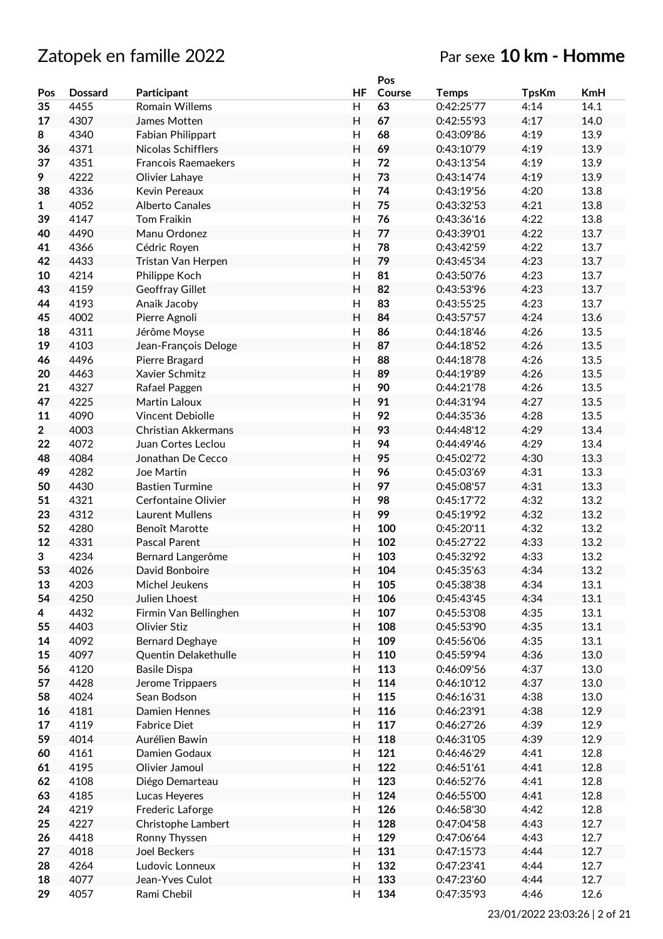|                |                |                            |                           | Pos    |              |              |            |
|----------------|----------------|----------------------------|---------------------------|--------|--------------|--------------|------------|
| Pos            | <b>Dossard</b> | Participant                | HF                        | Course | <b>Temps</b> | <b>TpsKm</b> | <b>KmH</b> |
| 35             | 4455           | <b>Romain Willems</b>      | H                         | 63     | 0:42:25'77   | 4:14         | 14.1       |
| 17             | 4307           | James Motten               | H                         | 67     | 0:42:55'93   | 4:17         | 14.0       |
| 8              | 4340           | Fabian Philippart          | H                         | 68     | 0:43:09'86   | 4:19         | 13.9       |
| 36             | 4371           | Nicolas Schifflers         | H                         | 69     | 0:43:10'79   | 4:19         | 13.9       |
| 37             | 4351           | <b>Francois Raemaekers</b> | H                         | 72     | 0:43:13'54   | 4:19         | 13.9       |
| 9              | 4222           | Olivier Lahaye             | H                         | 73     | 0:43:14'74   | 4:19         | 13.9       |
| 38             | 4336           | Kevin Pereaux              | H                         | 74     | 0:43:19'56   | 4:20         | 13.8       |
| $\mathbf{1}$   | 4052           | <b>Alberto Canales</b>     | H                         | 75     | 0:43:32'53   | 4:21         | 13.8       |
|                |                |                            |                           |        |              |              |            |
| 39             | 4147           | <b>Tom Fraikin</b>         | H                         | 76     | 0:43:36'16   | 4:22         | 13.8       |
| 40             | 4490           | Manu Ordonez               | H                         | 77     | 0:43:39'01   | 4:22         | 13.7       |
| 41             | 4366           | Cédric Royen               | $\mathsf{H}%$             | 78     | 0:43:42'59   | 4:22         | 13.7       |
| 42             | 4433           | Tristan Van Herpen         | H                         | 79     | 0:43:45'34   | 4:23         | 13.7       |
| 10             | 4214           | Philippe Koch              | H                         | 81     | 0:43:50'76   | 4:23         | 13.7       |
| 43             | 4159           | Geoffray Gillet            | H                         | 82     | 0:43:53'96   | 4:23         | 13.7       |
| 44             | 4193           | Anaik Jacoby               | $\mathsf{H}%$             | 83     | 0:43:55'25   | 4:23         | 13.7       |
| 45             | 4002           | Pierre Agnoli              | $\mathsf{H}$              | 84     | 0:43:57'57   | 4:24         | 13.6       |
| 18             | 4311           | Jérôme Moyse               | H                         | 86     | 0:44:18'46   | 4:26         | 13.5       |
| 19             | 4103           | Jean-François Deloge       | H                         | 87     | 0:44:18'52   | 4:26         | 13.5       |
| 46             | 4496           | Pierre Bragard             | H                         | 88     | 0:44:18'78   | 4:26         | 13.5       |
| 20             | 4463           | Xavier Schmitz             | $\overline{H}$            | 89     | 0:44:19'89   | 4:26         | 13.5       |
| 21             | 4327           | Rafael Paggen              | H                         | 90     | 0:44:21'78   | 4:26         | 13.5       |
| 47             | 4225           | Martin Laloux              | H                         | 91     | 0:44:31'94   | 4:27         | 13.5       |
| 11             | 4090           | <b>Vincent Debiolle</b>    | H                         | 92     | 0:44:35'36   | 4:28         | 13.5       |
| $\overline{2}$ | 4003           | Christian Akkermans        | H                         | 93     | 0:44:48'12   | 4:29         | 13.4       |
| 22             | 4072           | Juan Cortes Leclou         | $\mathsf{H}$              | 94     | 0:44:49'46   | 4:29         | 13.4       |
|                |                |                            |                           |        |              |              |            |
| 48             | 4084           | Jonathan De Cecco          | H                         | 95     | 0:45:02'72   | 4:30         | 13.3       |
| 49             | 4282           | <b>Joe Martin</b>          | H                         | 96     | 0:45:03'69   | 4:31         | 13.3       |
| 50             | 4430           | <b>Bastien Turmine</b>     | H                         | 97     | 0:45:08'57   | 4:31         | 13.3       |
| 51             | 4321           | Cerfontaine Olivier        | $\mathsf{H}%$             | 98     | 0:45:17'72   | 4:32         | 13.2       |
| 23             | 4312           | Laurent Mullens            | H                         | 99     | 0:45:19'92   | 4:32         | 13.2       |
| 52             | 4280           | Benoît Marotte             | H                         | 100    | 0:45:20'11   | 4:32         | 13.2       |
| 12             | 4331           | Pascal Parent              | $\overline{H}$            | 102    | 0:45:27'22   | 4:33         | 13.2       |
| 3              | 4234           | Bernard Langerôme          | H                         | 103    | 0:45:32'92   | 4:33         | 13.2       |
| 53             | 4026           | David Bonboire             | H                         | 104    | 0:45:35'63   | 4:34         | 13.2       |
| 13             | 4203           | Michel Jeukens             | H                         | 105    | 0:45:38'38   | 4:34         | 13.1       |
| 54             | 4250           | Julien Lhoest              | H                         | 106    | 0:45:43'45   | 4:34         | 13.1       |
| 4              | 4432           | Firmin Van Bellinghen      | H                         | 107    | 0:45:53'08   | 4:35         | 13.1       |
| 55             | 4403           | Olivier Stiz               | H                         | 108    | 0:45:53'90   | 4:35         | 13.1       |
| 14             | 4092           | Bernard Deghaye            | $\boldsymbol{\mathsf{H}}$ | 109    | 0:45:56'06   | 4:35         | 13.1       |
| 15             | 4097           | Quentin Delakethulle       | $\boldsymbol{\mathsf{H}}$ | 110    | 0:45:59'94   | 4:36         | 13.0       |
| 56             | 4120           | <b>Basile Dispa</b>        | $\mathsf{H}%$             | 113    | 0:46:09'56   | 4:37         | 13.0       |
| 57             | 4428           | Jerome Trippaers           | Н                         | 114    | 0:46:10'12   | 4:37         | 13.0       |
| 58             | 4024           | Sean Bodson                | H                         | 115    | 0:46:16'31   | 4:38         | 13.0       |
|                |                |                            |                           |        |              |              |            |
| 16             | 4181           | Damien Hennes              | $\mathsf{H}$              | 116    | 0:46:23'91   | 4:38         | 12.9       |
| 17             | 4119           | <b>Fabrice Diet</b>        | H                         | 117    | 0:46:27'26   | 4:39         | 12.9       |
| 59             | 4014           | Aurélien Bawin             | H                         | 118    | 0:46:31'05   | 4:39         | 12.9       |
| 60             | 4161           | Damien Godaux              | H                         | 121    | 0:46:46'29   | 4:41         | 12.8       |
| 61             | 4195           | Olivier Jamoul             | $\boldsymbol{\mathsf{H}}$ | 122    | 0:46:51'61   | 4:41         | 12.8       |
| 62             | 4108           | Diégo Demarteau            | $\boldsymbol{\mathsf{H}}$ | 123    | 0:46:52'76   | 4:41         | 12.8       |
| 63             | 4185           | Lucas Heyeres              | $\boldsymbol{\mathsf{H}}$ | 124    | 0:46:55'00   | 4:41         | 12.8       |
| 24             | 4219           | Frederic Laforge           | $\boldsymbol{\mathsf{H}}$ | 126    | 0:46:58'30   | 4:42         | 12.8       |
| 25             | 4227           | Christophe Lambert         | $\boldsymbol{\mathsf{H}}$ | 128    | 0:47:04'58   | 4:43         | 12.7       |
| 26             | 4418           | Ronny Thyssen              | $\boldsymbol{\mathsf{H}}$ | 129    | 0:47:06'64   | 4:43         | 12.7       |
| 27             | 4018           | <b>Joel Beckers</b>        | H                         | 131    | 0:47:15'73   | 4:44         | 12.7       |
| 28             | 4264           | Ludovic Lonneux            | H                         | 132    | 0:47:23'41   | 4:44         | 12.7       |
| 18             | 4077           | Jean-Yves Culot            | H                         | 133    | 0:47:23'60   | 4:44         | 12.7       |
| 29             | 4057           | Rami Chebil                | H                         | 134    | 0:47:35'93   | 4:46         | 12.6       |
|                |                |                            |                           |        |              |              |            |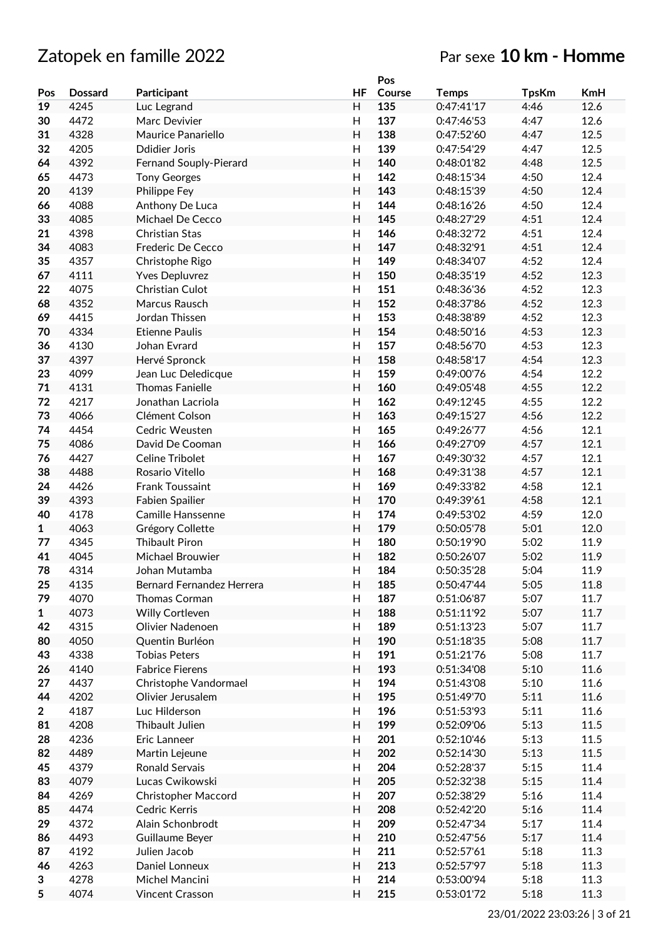|              |                |                            |                           | Pos    |              |              |            |
|--------------|----------------|----------------------------|---------------------------|--------|--------------|--------------|------------|
| Pos          | <b>Dossard</b> | Participant                | HF                        | Course | <b>Temps</b> | <b>TpsKm</b> | <b>KmH</b> |
| 19           | 4245           | Luc Legrand                | H                         | 135    | 0:47:41'17   | 4:46         | 12.6       |
| 30           | 4472           | Marc Devivier              | H                         | 137    | 0:47:46'53   | 4:47         | 12.6       |
| 31           | 4328           | Maurice Panariello         | H                         | 138    | 0:47:52'60   | 4:47         | 12.5       |
| 32           | 4205           | <b>Ddidier Joris</b>       | H                         | 139    | 0:47:54'29   | 4:47         | 12.5       |
| 64           | 4392           | Fernand Souply-Pierard     | H                         | 140    | 0:48:01'82   | 4:48         | 12.5       |
| 65           | 4473           | <b>Tony Georges</b>        | H                         | 142    | 0:48:15'34   | 4:50         | 12.4       |
| 20           | 4139           | Philippe Fey               | H                         | 143    | 0:48:15'39   | 4:50         | 12.4       |
|              |                |                            |                           |        | 0:48:16'26   |              |            |
| 66           | 4088           | Anthony De Luca            | Н                         | 144    |              | 4:50         | 12.4       |
| 33           | 4085           | Michael De Cecco           | H                         | 145    | 0:48:27'29   | 4:51         | 12.4       |
| 21           | 4398           | Christian Stas             | H                         | 146    | 0:48:32'72   | 4:51         | 12.4       |
| 34           | 4083           | Frederic De Cecco          | H                         | 147    | 0:48:32'91   | 4:51         | 12.4       |
| 35           | 4357           | Christophe Rigo            | H                         | 149    | 0:48:34'07   | 4:52         | 12.4       |
| 67           | 4111           | <b>Yves Depluvrez</b>      | H                         | 150    | 0:48:35'19   | 4:52         | 12.3       |
| 22           | 4075           | Christian Culot            | H                         | 151    | 0:48:36'36   | 4:52         | 12.3       |
| 68           | 4352           | Marcus Rausch              | H                         | 152    | 0:48:37'86   | 4:52         | 12.3       |
| 69           | 4415           | Jordan Thissen             | H                         | 153    | 0:48:38'89   | 4:52         | 12.3       |
| 70           | 4334           | <b>Etienne Paulis</b>      | H                         | 154    | 0:48:50'16   | 4:53         | 12.3       |
| 36           | 4130           | Johan Evrard               | H                         | 157    | 0:48:56'70   | 4:53         | 12.3       |
| 37           | 4397           | Hervé Spronck              | $\mathsf{H}$              | 158    | 0:48:58'17   | 4:54         | 12.3       |
| 23           | 4099           | Jean Luc Deledicque        | $\mathsf{H}$              | 159    | 0:49:00'76   | 4:54         | 12.2       |
| 71           | 4131           | <b>Thomas Fanielle</b>     | H                         | 160    | 0:49:05'48   | 4:55         | 12.2       |
| 72           | 4217           | Jonathan Lacriola          | H                         | 162    | 0:49:12'45   | 4:55         | 12.2       |
|              |                |                            |                           |        |              |              |            |
| 73           | 4066           | Clément Colson             | H                         | 163    | 0:49:15'27   | 4:56         | 12.2       |
| 74           | 4454           | Cedric Weusten             | H                         | 165    | 0:49:26'77   | 4:56         | 12.1       |
| 75           | 4086           | David De Cooman            | H                         | 166    | 0:49:27'09   | 4:57         | 12.1       |
| 76           | 4427           | Celine Tribolet            | H                         | 167    | 0:49:30'32   | 4:57         | 12.1       |
| 38           | 4488           | Rosario Vitello            | H                         | 168    | 0:49:31'38   | 4:57         | 12.1       |
| 24           | 4426           | Frank Toussaint            | H                         | 169    | 0:49:33'82   | 4:58         | 12.1       |
| 39           | 4393           | <b>Fabien Spailier</b>     | H                         | 170    | 0:49:39'61   | 4:58         | 12.1       |
| 40           | 4178           | <b>Camille Hanssenne</b>   | H                         | 174    | 0:49:53'02   | 4:59         | 12.0       |
| $\mathbf{1}$ | 4063           | Grégory Collette           | H                         | 179    | 0:50:05'78   | 5:01         | 12.0       |
| 77           | 4345           | <b>Thibault Piron</b>      | H                         | 180    | 0:50:19'90   | 5:02         | 11.9       |
| 41           | 4045           | Michael Brouwier           | Н                         | 182    | 0:50:26'07   | 5:02         | 11.9       |
| 78           | 4314           | Johan Mutamba              | H                         | 184    | 0:50:35'28   | 5:04         | 11.9       |
| 25           | 4135           | Bernard Fernandez Herrera  | H                         | 185    | 0:50:47'44   | 5:05         | 11.8       |
| 79           | 4070           | Thomas Corman              | H                         | 187    | 0:51:06'87   | 5:07         | 11.7       |
| $\mathbf{1}$ | 4073           | Willy Cortleven            | H                         | 188    | 0:51:11'92   | 5:07         | 11.7       |
|              |                |                            |                           |        |              |              |            |
| 42           | 4315           | Olivier Nadenoen           | H                         | 189    | 0:51:13'23   | 5:07         | 11.7       |
| 80           | 4050           | Quentin Burléon            | H                         | 190    | 0:51:18'35   | 5:08         | 11.7       |
| 43           | 4338           | <b>Tobias Peters</b>       | H                         | 191    | 0:51:21'76   | 5:08         | 11.7       |
| 26           | 4140           | <b>Fabrice Fierens</b>     | H                         | 193    | 0:51:34'08   | 5:10         | 11.6       |
| 27           | 4437           | Christophe Vandormael      | H                         | 194    | 0:51:43'08   | 5:10         | 11.6       |
| 44           | 4202           | Olivier Jerusalem          | H                         | 195    | 0:51:49'70   | 5:11         | 11.6       |
| $\mathbf{2}$ | 4187           | Luc Hilderson              | $\boldsymbol{\mathsf{H}}$ | 196    | 0:51:53'93   | 5:11         | 11.6       |
| 81           | 4208           | Thibault Julien            | H                         | 199    | 0:52:09'06   | 5:13         | 11.5       |
| 28           | 4236           | Eric Lanneer               | H                         | 201    | 0:52:10'46   | 5:13         | 11.5       |
| 82           | 4489           | Martin Lejeune             | H                         | 202    | 0:52:14'30   | 5:13         | 11.5       |
| 45           | 4379           | <b>Ronald Servais</b>      | H                         | 204    | 0:52:28'37   | 5:15         | 11.4       |
| 83           | 4079           | Lucas Cwikowski            | H                         | 205    | 0:52:32'38   | 5:15         | 11.4       |
| 84           | 4269           | <b>Christopher Maccord</b> | Н                         | 207    | 0:52:38'29   | 5:16         | 11.4       |
| 85           | 4474           | Cedric Kerris              | H                         | 208    | 0:52:42'20   | 5:16         | 11.4       |
|              |                |                            |                           |        |              |              |            |
| 29           | 4372           | Alain Schonbrodt           | Н                         | 209    | 0:52:47'34   | 5:17         | 11.4       |
| 86           | 4493           | Guillaume Beyer            | H                         | 210    | 0:52:47'56   | 5:17         | 11.4       |
| 87           | 4192           | Julien Jacob               | H                         | 211    | 0:52:57'61   | 5:18         | 11.3       |
| 46           | 4263           | Daniel Lonneux             | H                         | 213    | 0:52:57'97   | 5:18         | 11.3       |
| 3            | 4278           | Michel Mancini             | H                         | 214    | 0:53:00'94   | 5:18         | 11.3       |
| 5            | 4074           | Vincent Crasson            | H                         | 215    | 0:53:01'72   | 5:18         | 11.3       |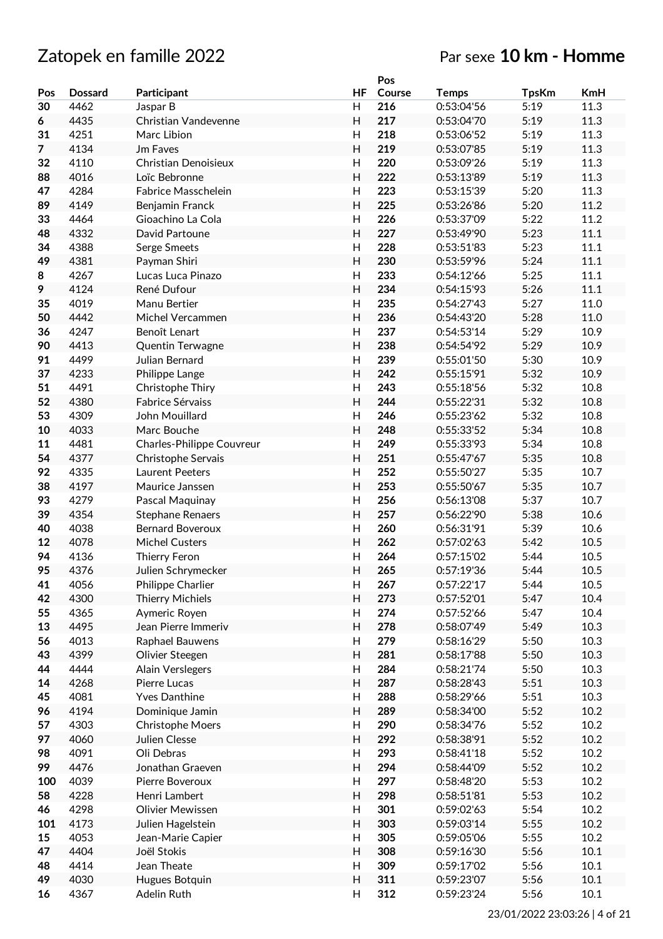|                |                |                           |              | Pos    |              |              |            |
|----------------|----------------|---------------------------|--------------|--------|--------------|--------------|------------|
| Pos            | <b>Dossard</b> | Participant               | HF           | Course | <b>Temps</b> | <b>TpsKm</b> | <b>KmH</b> |
| 30             | 4462           | Jaspar B                  | H            | 216    | 0:53:04'56   | 5:19         | 11.3       |
| 6              | 4435           | Christian Vandevenne      | H            | 217    | 0:53:04'70   | 5:19         | 11.3       |
| 31             | 4251           | Marc Libion               | H            | 218    | 0:53:06'52   | 5:19         | 11.3       |
| $\overline{7}$ | 4134           | Jm Faves                  | H            | 219    | 0:53:07'85   | 5:19         | 11.3       |
| 32             | 4110           | Christian Denoisieux      | H            | 220    | 0:53:09'26   | 5:19         | 11.3       |
| 88             | 4016           | Loïc Bebronne             | H            | 222    | 0:53:13'89   | 5:19         | 11.3       |
| 47             | 4284           | Fabrice Masschelein       | H            | 223    | 0:53:15'39   | 5:20         | 11.3       |
| 89             | 4149           | Benjamin Franck           | H            | 225    | 0:53:26'86   | 5:20         | 11.2       |
| 33             | 4464           | Gioachino La Cola         | H            | 226    | 0:53:37'09   | 5:22         | 11.2       |
| 48             | 4332           | David Partoune            | Н            | 227    | 0:53:49'90   | 5:23         | 11.1       |
| 34             | 4388           | Serge Smeets              | H            | 228    | 0:53:51'83   | 5:23         | 11.1       |
| 49             | 4381           | Payman Shiri              | H            | 230    | 0:53:59'96   | 5:24         | 11.1       |
| 8              | 4267           | Lucas Luca Pinazo         | H            | 233    | 0:54:12'66   | 5:25         | 11.1       |
|                | 4124           | René Dufour               | H            | 234    | 0:54:15'93   | 5:26         | 11.1       |
| 9              | 4019           |                           |              |        |              |              |            |
| 35             |                | Manu Bertier              | H            | 235    | 0:54:27'43   | 5:27         | 11.0       |
| 50             | 4442           | Michel Vercammen          | H            | 236    | 0:54:43'20   | 5:28         | 11.0       |
| 36             | 4247           | Benoît Lenart             | H            | 237    | 0:54:53'14   | 5:29         | 10.9       |
| 90             | 4413           | Quentin Terwagne          | Н            | 238    | 0:54:54'92   | 5:29         | 10.9       |
| 91             | 4499           | Julian Bernard            | H            | 239    | 0:55:01'50   | 5:30         | 10.9       |
| 37             | 4233           | Philippe Lange            | Н            | 242    | 0:55:15'91   | 5:32         | 10.9       |
| 51             | 4491           | Christophe Thiry          | $\mathsf{H}$ | 243    | 0:55:18'56   | 5:32         | 10.8       |
| 52             | 4380           | Fabrice Sérvaiss          | H            | 244    | 0:55:22'31   | 5:32         | 10.8       |
| 53             | 4309           | John Mouillard            | H            | 246    | 0:55:23'62   | 5:32         | 10.8       |
| 10             | 4033           | Marc Bouche               | H            | 248    | 0:55:33'52   | 5:34         | 10.8       |
| 11             | 4481           | Charles-Philippe Couvreur | H            | 249    | 0:55:33'93   | 5:34         | 10.8       |
| 54             | 4377           | Christophe Servais        | H            | 251    | 0:55:47'67   | 5:35         | 10.8       |
| 92             | 4335           | Laurent Peeters           | H            | 252    | 0:55:50'27   | 5:35         | 10.7       |
| 38             | 4197           | Maurice Janssen           | H            | 253    | 0:55:50'67   | 5:35         | 10.7       |
| 93             | 4279           | Pascal Maquinay           | H            | 256    | 0:56:13'08   | 5:37         | 10.7       |
| 39             | 4354           | <b>Stephane Renaers</b>   | Н            | 257    | 0:56:22'90   | 5:38         | 10.6       |
| 40             | 4038           | <b>Bernard Boveroux</b>   | H            | 260    | 0:56:31'91   | 5:39         | 10.6       |
| 12             | 4078           | <b>Michel Custers</b>     | H            | 262    | 0:57:02'63   | 5:42         | 10.5       |
| 94             | 4136           | Thierry Feron             | H            | 264    | 0:57:15'02   | 5:44         | 10.5       |
| 95             | 4376           | Julien Schrymecker        | H            | 265    | 0:57:19'36   | 5:44         | 10.5       |
| 41             | 4056           | Philippe Charlier         | Н            | 267    | 0:57:22'17   | 5:44         | 10.5       |
| 42             | 4300           | <b>Thierry Michiels</b>   | H            | 273    | 0:57:52'01   | 5:47         | 10.4       |
| 55             | 4365           | Aymeric Royen             | Н            | 274    | 0:57:52'66   | 5:47         | 10.4       |
| 13             | 4495           | Jean Pierre Immeriv       | H            | 278    | 0:58:07'49   | 5:49         | 10.3       |
| 56             | 4013           | Raphael Bauwens           | H            | 279    | 0:58:16'29   | 5:50         | 10.3       |
| 43             | 4399           | Olivier Steegen           | H            | 281    | 0:58:17'88   | 5:50         | 10.3       |
| 44             | 4444           | <b>Alain Verslegers</b>   | H            | 284    | 0:58:21'74   | 5:50         | 10.3       |
| 14             | 4268           | Pierre Lucas              | Н            | 287    | 0:58:28'43   | 5:51         | 10.3       |
| 45             | 4081           | <b>Yves Danthine</b>      | H            | 288    | 0:58:29'66   | 5:51         | 10.3       |
| 96             | 4194           | Dominique Jamin           | Н            | 289    | 0:58:34'00   | 5:52         | 10.2       |
| 57             | 4303           | <b>Christophe Moers</b>   | H            | 290    | 0:58:34'76   | 5:52         | 10.2       |
| 97             | 4060           | Julien Clesse             | H            | 292    | 0:58:38'91   | 5:52         | 10.2       |
| 98             | 4091           | Oli Debras                | H            | 293    | 0:58:41'18   | 5:52         | 10.2       |
| 99             | 4476           | Jonathan Graeven          | H            | 294    | 0:58:44'09   | 5:52         | 10.2       |
| 100            | 4039           | Pierre Boveroux           | H            | 297    | 0:58:48'20   | 5:53         | 10.2       |
| 58             | 4228           | Henri Lambert             | H            | 298    | 0:58:51'81   | 5:53         | 10.2       |
| 46             | 4298           | Olivier Mewissen          | H            | 301    | 0:59:02'63   | 5:54         | 10.2       |
|                |                |                           |              |        |              |              |            |
| 101            | 4173           | Julien Hagelstein         | Н            | 303    | 0:59:03'14   | 5:55         | 10.2       |
| 15             | 4053           | Jean-Marie Capier         | H            | 305    | 0:59:05'06   | 5:55         | 10.2       |
| 47             | 4404           | Joël Stokis               | H            | 308    | 0:59:16'30   | 5:56         | 10.1       |
| 48             | 4414           | Jean Theate               | Н            | 309    | 0:59:17'02   | 5:56         | 10.1       |
| 49             | 4030           | Hugues Botquin            | H            | 311    | 0:59:23'07   | 5:56         | 10.1       |
| 16             | 4367           | Adelin Ruth               | H            | 312    | 0:59:23'24   | 5:56         | 10.1       |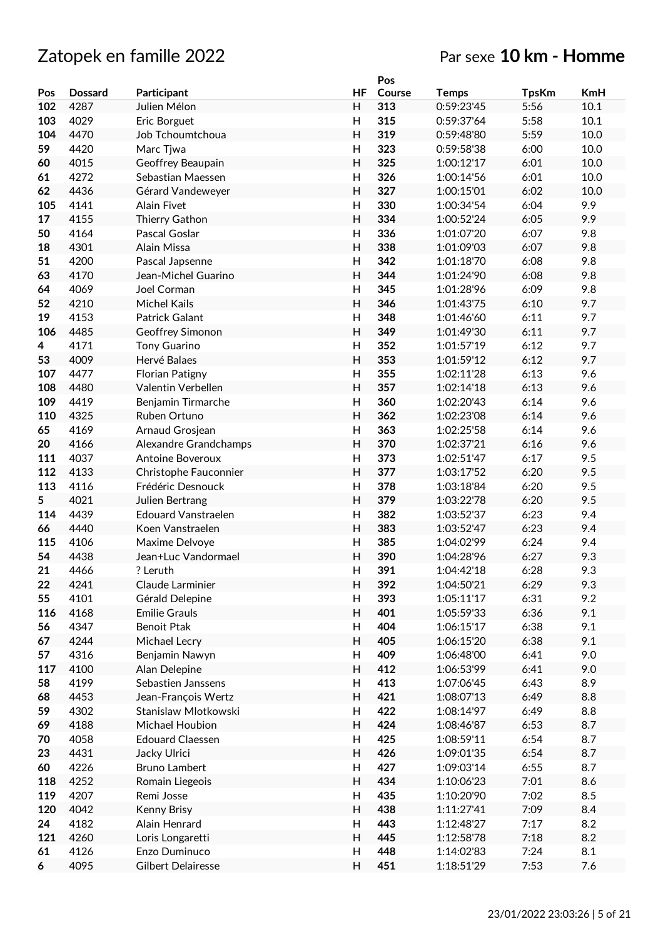|     |                |                            |                           | Pos    |              |              |            |
|-----|----------------|----------------------------|---------------------------|--------|--------------|--------------|------------|
| Pos | <b>Dossard</b> | Participant                | HF                        | Course | <b>Temps</b> | <b>TpsKm</b> | <b>KmH</b> |
| 102 | 4287           | Julien Mélon               | H                         | 313    | 0:59:23'45   | 5:56         | 10.1       |
| 103 | 4029           | Eric Borguet               | H                         | 315    | 0:59:37'64   | 5:58         | 10.1       |
| 104 | 4470           | Job Tchoumtchoua           | $\mathsf{H}$              | 319    | 0:59:48'80   | 5:59         | 10.0       |
| 59  | 4420           | Marc Tiwa                  | $\mathsf{H}$              | 323    | 0:59:58'38   | 6:00         | 10.0       |
| 60  | 4015           | Geoffrey Beaupain          | Η                         | 325    | 1:00:12'17   | 6:01         | 10.0       |
| 61  | 4272           | Sebastian Maessen          | Н                         | 326    | 1:00:14'56   | 6:01         | 10.0       |
|     |                |                            | H                         | 327    | 1:00:15'01   |              |            |
| 62  | 4436           | Gérard Vandeweyer          |                           |        |              | 6:02         | 10.0       |
| 105 | 4141           | Alain Fivet                | Н                         | 330    | 1:00:34'54   | 6:04         | 9.9        |
| 17  | 4155           | Thierry Gathon             | H                         | 334    | 1:00:52'24   | 6:05         | 9.9        |
| 50  | 4164           | Pascal Goslar              | $\mathsf{H}$              | 336    | 1:01:07'20   | 6:07         | 9.8        |
| 18  | 4301           | Alain Missa                | $\mathsf{H}$              | 338    | 1:01:09'03   | 6:07         | 9.8        |
| 51  | 4200           | Pascal Japsenne            | $\mathsf{H}%$             | 342    | 1:01:18'70   | 6:08         | 9.8        |
| 63  | 4170           | Jean-Michel Guarino        | $\mathsf{H}$              | 344    | 1:01:24'90   | 6:08         | 9.8        |
| 64  | 4069           | Joel Corman                | H                         | 345    | 1:01:28'96   | 6:09         | 9.8        |
| 52  | 4210           | <b>Michel Kails</b>        | H                         | 346    | 1:01:43'75   | 6:10         | 9.7        |
| 19  | 4153           | Patrick Galant             | Н                         | 348    | 1:01:46'60   | 6:11         | 9.7        |
| 106 | 4485           | Geoffrey Simonon           | H                         | 349    | 1:01:49'30   | 6:11         | 9.7        |
| 4   | 4171           | <b>Tony Guarino</b>        | $\mathsf{H}$              | 352    | 1:01:57'19   | 6:12         | 9.7        |
| 53  | 4009           | Hervé Balaes               | H                         | 353    | 1:01:59'12   | 6:12         | 9.7        |
| 107 | 4477           | <b>Florian Patigny</b>     | $\overline{\mathsf{H}}$   | 355    | 1:02:11'28   | 6:13         | 9.6        |
| 108 | 4480           | Valentin Verbellen         | $\overline{H}$            | 357    | 1:02:14'18   | 6:13         | 9.6        |
| 109 | 4419           |                            | $\mathsf{H}%$             | 360    | 1:02:20'43   | 6:14         | 9.6        |
|     |                | Benjamin Tirmarche         |                           |        |              |              |            |
| 110 | 4325           | Ruben Ortuno               | $\overline{H}$            | 362    | 1:02:23'08   | 6:14         | 9.6        |
| 65  | 4169           | Arnaud Grosjean            | H                         | 363    | 1:02:25'58   | 6:14         | 9.6        |
| 20  | 4166           | Alexandre Grandchamps      | Η                         | 370    | 1:02:37'21   | 6:16         | 9.6        |
| 111 | 4037           | <b>Antoine Boveroux</b>    | Н                         | 373    | 1:02:51'47   | 6:17         | 9.5        |
| 112 | 4133           | Christophe Fauconnier      | H                         | 377    | 1:03:17'52   | 6:20         | 9.5        |
| 113 | 4116           | Frédéric Desnouck          | Н                         | 378    | 1:03:18'84   | 6:20         | 9.5        |
| 5   | 4021           | Julien Bertrang            | H                         | 379    | 1:03:22'78   | 6:20         | 9.5        |
| 114 | 4439           | <b>Edouard Vanstraelen</b> | $\mathsf{H}%$             | 382    | 1:03:52'37   | 6:23         | 9.4        |
| 66  | 4440           | Koen Vanstraelen           | $\mathsf{H}$              | 383    | 1:03:52'47   | 6:23         | 9.4        |
| 115 | 4106           | Maxime Delvoye             | Н                         | 385    | 1:04:02'99   | 6:24         | 9.4        |
| 54  | 4438           | Jean+Luc Vandormael        | $\overline{H}$            | 390    | 1:04:28'96   | 6:27         | 9.3        |
| 21  | 4466           | ? Leruth                   | Η                         | 391    | 1:04:42'18   | 6:28         | 9.3        |
| 22  | 4241           | Claude Larminier           | H                         | 392    | 1:04:50'21   | 6:29         | 9.3        |
| 55  | 4101           | Gérald Delepine            | H                         | 393    | 1:05:11'17   | 6:31         | 9.2        |
| 116 | 4168           | <b>Emilie Grauls</b>       | H                         | 401    | 1:05:59'33   | 6:36         | 9.1        |
| 56  | 4347           | Benoit Ptak                | H                         | 404    | 1:06:15'17   | 6:38         | 9.1        |
| 67  | 4244           | Michael Lecry              | H                         | 405    | 1:06:15'20   | 6:38         | 9.1        |
| 57  | 4316           | Benjamin Nawyn             | $\boldsymbol{\mathsf{H}}$ | 409    | 1:06:48'00   | 6:41         | 9.0        |
| 117 | 4100           | Alan Delepine              | $\boldsymbol{\mathsf{H}}$ | 412    | 1:06:53'99   | 6:41         | 9.0        |
|     |                | Sebastien Janssens         |                           | 413    | 1:07:06'45   |              | 8.9        |
| 58  | 4199           |                            | H                         |        |              | 6:43         |            |
| 68  | 4453           | Jean-François Wertz        | Н                         | 421    | 1:08:07'13   | 6:49         | 8.8        |
| 59  | 4302           | Stanislaw Mlotkowski       | $\boldsymbol{\mathsf{H}}$ | 422    | 1:08:14'97   | 6:49         | 8.8        |
| 69  | 4188           | Michael Houbion            | H                         | 424    | 1:08:46'87   | 6:53         | 8.7        |
| 70  | 4058           | <b>Edouard Claessen</b>    | H                         | 425    | 1:08:59'11   | 6:54         | 8.7        |
| 23  | 4431           | Jacky Ulrici               | Н                         | 426    | 1:09:01'35   | 6:54         | 8.7        |
| 60  | 4226           | <b>Bruno Lambert</b>       | H                         | 427    | 1:09:03'14   | 6:55         | 8.7        |
| 118 | 4252           | Romain Liegeois            | $\boldsymbol{\mathsf{H}}$ | 434    | 1:10:06'23   | 7:01         | 8.6        |
| 119 | 4207           | Remi Josse                 | $\mathsf{H}$              | 435    | 1:10:20'90   | 7:02         | 8.5        |
| 120 | 4042           | Kenny Brisy                | $\boldsymbol{\mathsf{H}}$ | 438    | 1:11:27'41   | 7:09         | 8.4        |
| 24  | 4182           | Alain Henrard              | $\boldsymbol{\mathsf{H}}$ | 443    | 1:12:48'27   | 7:17         | 8.2        |
| 121 | 4260           | Loris Longaretti           | H                         | 445    | 1:12:58'78   | 7:18         | 8.2        |
| 61  | 4126           | Enzo Duminuco              | $\boldsymbol{\mathsf{H}}$ | 448    | 1:14:02'83   | 7:24         | 8.1        |
| 6   | 4095           | Gilbert Delairesse         | Н                         | 451    | 1:18:51'29   | 7:53         | 7.6        |
|     |                |                            |                           |        |              |              |            |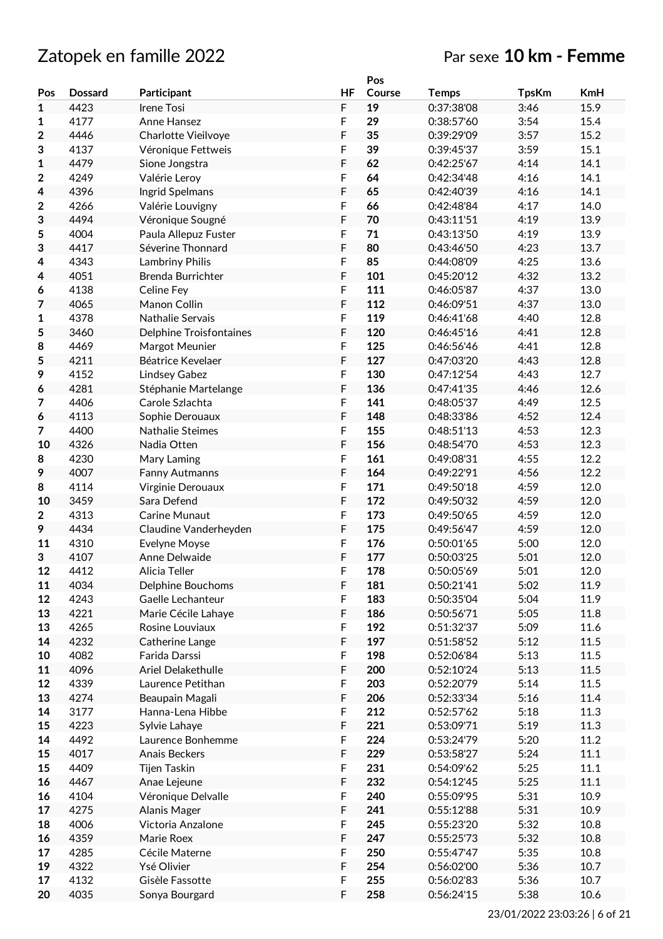# Zatopek en famille 2022 Par sexe **10 km - Femme**

|             |                |                                |             | Pos    |              |              |            |
|-------------|----------------|--------------------------------|-------------|--------|--------------|--------------|------------|
| Pos         | <b>Dossard</b> | Participant                    | <b>HF</b>   | Course | <b>Temps</b> | <b>TpsKm</b> | <b>KmH</b> |
| 1           | 4423           | <b>Irene Tosi</b>              | $\mathsf F$ | 19     | 0:37:38'08   | 3:46         | 15.9       |
| 1           | 4177           | Anne Hansez                    | F           | 29     | 0:38:57'60   | 3:54         | 15.4       |
| 2           | 4446           | Charlotte Vieilvoye            | F           | 35     | 0:39:29'09   | 3:57         | 15.2       |
| 3           | 4137           | Véronique Fettweis             | F           | 39     | 0:39:45'37   | 3:59         | 15.1       |
| 1           | 4479           | Sione Jongstra                 | F           | 62     | 0:42:25'67   | 4:14         | 14.1       |
|             |                |                                |             |        |              |              |            |
| $\mathbf 2$ | 4249           | Valérie Leroy                  | F           | 64     | 0:42:34'48   | 4:16         | 14.1       |
| 4           | 4396           | Ingrid Spelmans                | F           | 65     | 0:42:40'39   | 4:16         | 14.1       |
| 2           | 4266           | Valérie Louvigny               | F           | 66     | 0:42:48'84   | 4:17         | 14.0       |
| 3           | 4494           | Véronique Sougné               | $\mathsf F$ | 70     | 0:43:11'51   | 4:19         | 13.9       |
| 5           | 4004           | Paula Allepuz Fuster           | F           | 71     | 0:43:13'50   | 4:19         | 13.9       |
| 3           | 4417           | Séverine Thonnard              | F           | 80     | 0:43:46'50   | 4:23         | 13.7       |
| 4           | 4343           | Lambriny Philis                | F           | 85     | 0:44:08'09   | 4:25         | 13.6       |
| 4           | 4051           | Brenda Burrichter              | F           | 101    | 0:45:20'12   | 4:32         | 13.2       |
| 6           | 4138           | Celine Fey                     | F           | 111    | 0:46:05'87   | 4:37         | 13.0       |
| 7           | 4065           | Manon Collin                   | F           | 112    | 0:46:09'51   | 4:37         | 13.0       |
| 1           | 4378           | <b>Nathalie Servais</b>        | F           | 119    | 0:46:41'68   | 4:40         | 12.8       |
|             | 3460           |                                | F           | 120    | 0:46:45'16   | 4:41         | 12.8       |
| 5           |                | <b>Delphine Troisfontaines</b> |             |        |              |              |            |
| 8           | 4469           | Margot Meunier                 | F           | 125    | 0:46:56'46   | 4:41         | 12.8       |
| 5           | 4211           | Béatrice Kevelaer              | F           | 127    | 0:47:03'20   | 4:43         | 12.8       |
| 9           | 4152           | Lindsey Gabez                  | F           | 130    | 0:47:12'54   | 4:43         | 12.7       |
| 6           | 4281           | Stéphanie Martelange           | F           | 136    | 0:47:41'35   | 4:46         | 12.6       |
| 7           | 4406           | Carole Szlachta                | F           | 141    | 0:48:05'37   | 4:49         | 12.5       |
| 6           | 4113           | Sophie Derouaux                | F           | 148    | 0:48:33'86   | 4:52         | 12.4       |
| 7           | 4400           | <b>Nathalie Steimes</b>        | F           | 155    | 0:48:51'13   | 4:53         | 12.3       |
| 10          | 4326           | Nadia Otten                    | F           | 156    | 0:48:54'70   | 4:53         | 12.3       |
| 8           | 4230           | Mary Laming                    | F           | 161    | 0:49:08'31   | 4:55         | 12.2       |
| 9           | 4007           | Fanny Autmanns                 | F           | 164    | 0:49:22'91   | 4:56         | 12.2       |
| 8           | 4114           | Virginie Derouaux              | F           | 171    | 0:49:50'18   | 4:59         | 12.0       |
| 10          | 3459           | Sara Defend                    | $\mathsf F$ | 172    | 0:49:50'32   | 4:59         | 12.0       |
| $\mathbf 2$ | 4313           | Carine Munaut                  | F           | 173    | 0:49:50'65   | 4:59         | 12.0       |
|             |                |                                |             |        |              |              |            |
| 9           | 4434           | Claudine Vanderheyden          | F           | 175    | 0:49:56'47   | 4:59         | 12.0       |
| 11          | 4310           | <b>Evelyne Moyse</b>           | F           | 176    | 0:50:01'65   | 5:00         | 12.0       |
| 3           | 4107           | Anne Delwaide                  | F           | 177    | 0:50:03'25   | 5:01         | 12.0       |
| 12          | 4412           | Alicia Teller                  | F           | 178    | 0:50:05'69   | 5:01         | 12.0       |
| 11          | 4034           | <b>Delphine Bouchoms</b>       | F           | 181    | 0:50:21'41   | 5:02         | 11.9       |
| 12          | 4243           | Gaelle Lechanteur              | $\mathsf F$ | 183    | 0:50:35'04   | 5:04         | 11.9       |
| 13          | 4221           | Marie Cécile Lahaye            | $\mathsf F$ | 186    | 0:50:56'71   | 5:05         | 11.8       |
| 13          | 4265           | Rosine Louviaux                | $\mathsf F$ | 192    | 0:51:32'37   | 5:09         | 11.6       |
| 14          | 4232           | Catherine Lange                | $\mathsf F$ | 197    | 0:51:58'52   | 5:12         | 11.5       |
| 10          | 4082           | Farida Darssi                  | F           | 198    | 0:52:06'84   | 5:13         | 11.5       |
| 11          | 4096           | Ariel Delakethulle             | $\mathsf F$ | 200    | 0:52:10'24   | 5:13         | 11.5       |
| 12          | 4339           | Laurence Petithan              | F           | 203    | 0:52:20'79   | 5:14         | 11.5       |
| 13          | 4274           | Beaupain Magali                | F           | 206    | 0:52:33'34   | 5:16         | 11.4       |
| 14          | 3177           | Hanna-Lena Hibbe               | F           | 212    |              | 5:18         | 11.3       |
|             |                |                                |             |        | 0:52:57'62   |              |            |
| 15          | 4223           | Sylvie Lahaye                  | F           | 221    | 0:53:09'71   | 5:19         | 11.3       |
| 14          | 4492           | Laurence Bonhemme              | $\mathsf F$ | 224    | 0:53:24'79   | 5:20         | 11.2       |
| 15          | 4017           | Anais Beckers                  | $\mathsf F$ | 229    | 0:53:58'27   | 5:24         | 11.1       |
| 15          | 4409           | Tijen Taskin                   | $\mathsf F$ | 231    | 0:54:09'62   | 5:25         | 11.1       |
| 16          | 4467           | Anae Lejeune                   | $\mathsf F$ | 232    | 0:54:12'45   | 5:25         | 11.1       |
| 16          | 4104           | Véronique Delvalle             | F           | 240    | 0:55:09'95   | 5:31         | 10.9       |
| 17          | 4275           | Alanis Mager                   | F           | 241    | 0:55:12'88   | 5:31         | 10.9       |
| 18          | 4006           | Victoria Anzalone              | F           | 245    | 0:55:23'20   | 5:32         | 10.8       |
| 16          | 4359           | Marie Roex                     | F           | 247    | 0:55:25'73   | 5:32         | 10.8       |
| 17          | 4285           | Cécile Materne                 | F           | 250    | 0:55:47'47   | 5:35         | 10.8       |
| 19          | 4322           | Ysé Olivier                    | F           | 254    | 0:56:02'00   | 5:36         | 10.7       |
| 17          | 4132           | Gisèle Fassotte                | F           | 255    | 0:56:02'83   | 5:36         | 10.7       |
|             |                |                                | $\mathsf F$ |        |              |              |            |
| 20          | 4035           | Sonya Bourgard                 |             | 258    | 0:56:24'15   | 5:38         | 10.6       |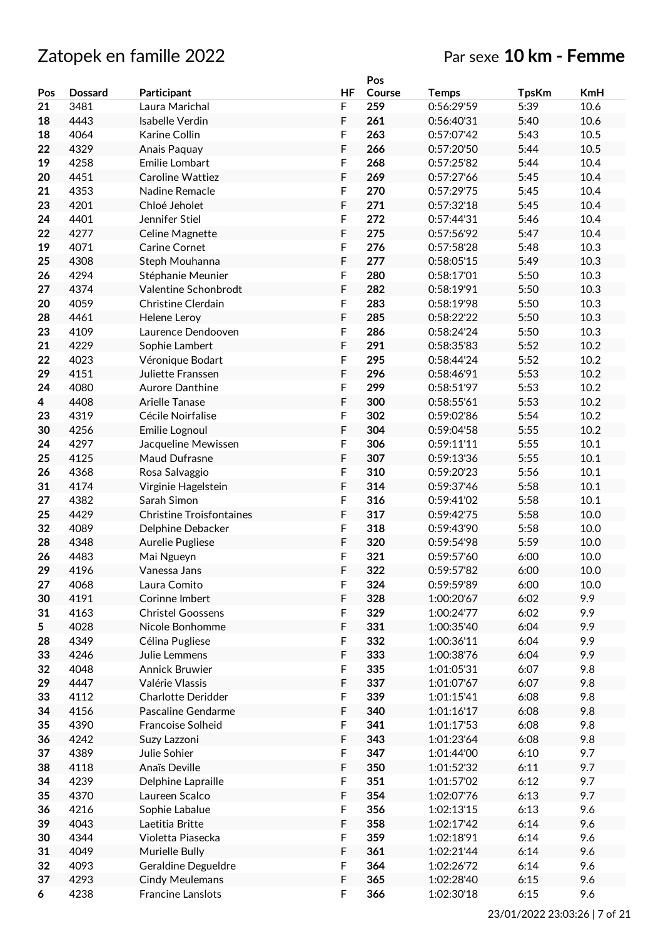|     |                |                                 |           | Pos    |              |              |            |
|-----|----------------|---------------------------------|-----------|--------|--------------|--------------|------------|
| Pos | <b>Dossard</b> | Participant                     | <b>HF</b> | Course | <b>Temps</b> | <b>TpsKm</b> | <b>KmH</b> |
| 21  | 3481           | Laura Marichal                  | F         | 259    | 0:56:29'59   | 5:39         | 10.6       |
| 18  | 4443           | <b>Isabelle Verdin</b>          | F         | 261    | 0:56:40'31   | 5:40         | 10.6       |
| 18  | 4064           | Karine Collin                   | F         | 263    | 0:57:07'42   | 5:43         | 10.5       |
| 22  | 4329           | Anais Paguay                    | F         | 266    | 0:57:20'50   | 5:44         | 10.5       |
| 19  | 4258           | Emilie Lombart                  | F         | 268    | 0:57:25'82   | 5:44         | 10.4       |
| 20  | 4451           | Caroline Wattiez                | F         | 269    | 0:57:27'66   | 5:45         | 10.4       |
| 21  | 4353           | Nadine Remacle                  | F         | 270    | 0:57:29'75   | 5:45         | 10.4       |
| 23  | 4201           | Chloé Jeholet                   | F         | 271    | 0:57:32'18   | 5:45         | 10.4       |
| 24  | 4401           | Jennifer Stiel                  | F         | 272    | 0:57:44'31   | 5:46         | 10.4       |
|     |                |                                 | F         |        |              |              |            |
| 22  | 4277           | Celine Magnette                 |           | 275    | 0:57:56'92   | 5:47         | 10.4       |
| 19  | 4071           | <b>Carine Cornet</b>            | F         | 276    | 0:57:58'28   | 5:48         | 10.3       |
| 25  | 4308           | Steph Mouhanna                  | F         | 277    | 0:58:05'15   | 5:49         | 10.3       |
| 26  | 4294           | Stéphanie Meunier               | F         | 280    | 0:58:17'01   | 5:50         | 10.3       |
| 27  | 4374           | Valentine Schonbrodt            | F         | 282    | 0:58:19'91   | 5:50         | 10.3       |
| 20  | 4059           | <b>Christine Clerdain</b>       | F         | 283    | 0:58:19'98   | 5:50         | 10.3       |
| 28  | 4461           | <b>Helene Leroy</b>             | F         | 285    | 0:58:22'22   | 5:50         | 10.3       |
| 23  | 4109           | Laurence Dendooven              | F         | 286    | 0:58:24'24   | 5:50         | 10.3       |
| 21  | 4229           | Sophie Lambert                  | F         | 291    | 0:58:35'83   | 5:52         | 10.2       |
| 22  | 4023           | Véronique Bodart                | F         | 295    | 0:58:44'24   | 5:52         | 10.2       |
| 29  | 4151           | Juliette Franssen               | F         | 296    | 0:58:46'91   | 5:53         | 10.2       |
| 24  | 4080           | Aurore Danthine                 | F         | 299    | 0:58:51'97   | 5:53         | 10.2       |
| 4   | 4408           | <b>Arielle Tanase</b>           | F         | 300    | 0:58:55'61   | 5:53         | 10.2       |
| 23  | 4319           | Cécile Noirfalise               | F         | 302    | 0:59:02'86   | 5:54         | 10.2       |
| 30  | 4256           | Emilie Lognoul                  | F         | 304    | 0:59:04'58   | 5:55         | 10.2       |
| 24  | 4297           | Jacqueline Mewissen             | F         | 306    | 0:59:11'11   | 5:55         | 10.1       |
| 25  | 4125           | Maud Dufrasne                   | F         | 307    | 0:59:13'36   | 5:55         | 10.1       |
| 26  | 4368           | Rosa Salvaggio                  | F         | 310    | 0:59:20'23   | 5:56         | 10.1       |
| 31  | 4174           |                                 | F         | 314    | 0:59:37'46   | 5:58         | 10.1       |
| 27  | 4382           | Virginie Hagelstein             |           |        |              |              | 10.1       |
|     |                | Sarah Simon                     | F         | 316    | 0:59:41'02   | 5:58         |            |
| 25  | 4429           | <b>Christine Troisfontaines</b> | F         | 317    | 0:59:42'75   | 5:58         | 10.0       |
| 32  | 4089           | Delphine Debacker               | F         | 318    | 0:59:43'90   | 5:58         | 10.0       |
| 28  | 4348           | Aurelie Pugliese                | F         | 320    | 0:59:54'98   | 5:59         | 10.0       |
| 26  | 4483           | Mai Ngueyn                      | F         | 321    | 0:59:57'60   | 6:00         | 10.0       |
| 29  | 4196           | Vanessa Jans                    | F         | 322    | 0:59:57'82   | 6:00         | 10.0       |
| 27  | 4068           | Laura Comito                    | F         | 324    | 0:59:59'89   | 6:00         | 10.0       |
| 30  | 4191           | Corinne Imbert                  | F         | 328    | 1:00:20'67   | 6:02         | 9.9        |
| 31  | 4163           | <b>Christel Goossens</b>        | F         | 329    | 1:00:24'77   | 6:02         | 9.9        |
| 5   | 4028           | Nicole Bonhomme                 | F         | 331    | 1:00:35'40   | 6:04         | 9.9        |
| 28  | 4349           | Célina Pugliese                 | F         | 332    | 1:00:36'11   | 6:04         | 9.9        |
| 33  | 4246           | Julie Lemmens                   | F         | 333    | 1:00:38'76   | 6:04         | 9.9        |
| 32  | 4048           | Annick Bruwier                  | F         | 335    | 1:01:05'31   | 6:07         | 9.8        |
| 29  | 4447           | Valérie Vlassis                 | F         | 337    | 1:01:07'67   | 6:07         | 9.8        |
| 33  | 4112           | <b>Charlotte Deridder</b>       | F         | 339    | 1:01:15'41   | 6:08         | 9.8        |
| 34  | 4156           | Pascaline Gendarme              | F         | 340    | 1:01:16'17   | 6:08         | 9.8        |
| 35  | 4390           | Francoise Solheid               | F         | 341    | 1:01:17'53   | 6:08         | 9.8        |
| 36  | 4242           | Suzy Lazzoni                    | F         | 343    | 1:01:23'64   | 6:08         | 9.8        |
| 37  | 4389           | Julie Sohier                    | F         | 347    | 1:01:44'00   | 6:10         | 9.7        |
| 38  | 4118           | Anaïs Deville                   | F         | 350    | 1:01:52'32   | 6:11         | 9.7        |
|     |                |                                 |           |        |              |              |            |
| 34  | 4239           | Delphine Lapraille              | F         | 351    | 1:01:57'02   | 6:12         | 9.7        |
| 35  | 4370           | Laureen Scalco                  | F         | 354    | 1:02:07'76   | 6:13         | 9.7        |
| 36  | 4216           | Sophie Labalue                  | F         | 356    | 1:02:13'15   | 6:13         | 9.6        |
| 39  | 4043           | Laetitia Britte                 | F         | 358    | 1:02:17'42   | 6:14         | 9.6        |
| 30  | 4344           | Violetta Piasecka               | F         | 359    | 1:02:18'91   | 6:14         | 9.6        |
| 31  | 4049           | Murielle Bully                  | F         | 361    | 1:02:21'44   | 6:14         | 9.6        |
| 32  | 4093           | Geraldine Degueldre             | F         | 364    | 1:02:26'72   | 6:14         | 9.6        |
| 37  | 4293           | <b>Cindy Meulemans</b>          | F         | 365    | 1:02:28'40   | 6:15         | 9.6        |
| 6   | 4238           | <b>Francine Lanslots</b>        | F         | 366    | 1:02:30'18   | 6:15         | 9.6        |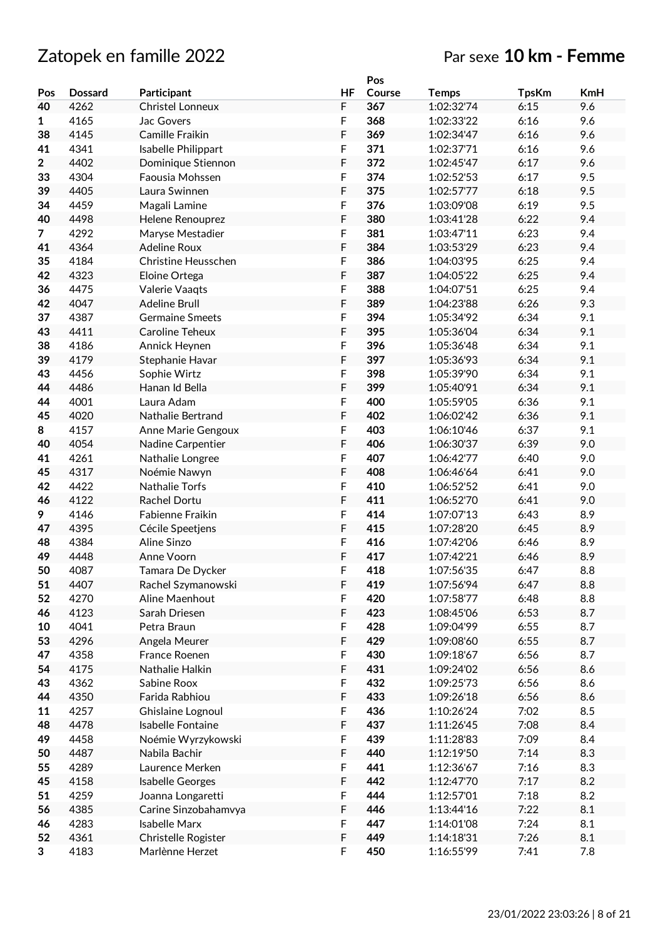|                |                |                          |           | Pos    |              |              |            |
|----------------|----------------|--------------------------|-----------|--------|--------------|--------------|------------|
| Pos            | <b>Dossard</b> | Participant              | <b>HF</b> | Course | <b>Temps</b> | <b>TpsKm</b> | <b>KmH</b> |
| 40             | 4262           | <b>Christel Lonneux</b>  | F         | 367    | 1:02:32'74   | 6:15         | 9.6        |
| 1              | 4165           | Jac Govers               | F         | 368    | 1:02:33'22   | 6:16         | 9.6        |
| 38             | 4145           | Camille Fraikin          | F         | 369    | 1:02:34'47   | 6:16         | 9.6        |
| 41             | 4341           | Isabelle Philippart      | F         | 371    | 1:02:37'71   | 6:16         | 9.6        |
| $\overline{2}$ | 4402           | Dominique Stiennon       | F         | 372    | 1:02:45'47   | 6:17         | 9.6        |
| 33             | 4304           | Faousia Mohssen          | F         | 374    | 1:02:52'53   | 6:17         | 9.5        |
| 39             | 4405           | Laura Swinnen            | F         | 375    | 1:02:57'77   | 6:18         | 9.5        |
| 34             | 4459           | Magali Lamine            | F         | 376    | 1:03:09'08   | 6:19         | 9.5        |
| 40             | 4498           | Helene Renouprez         | F         | 380    | 1:03:41'28   | 6:22         | 9.4        |
| $\overline{7}$ | 4292           | Maryse Mestadier         | F         | 381    | 1:03:47'11   | 6:23         | 9.4        |
| 41             | 4364           | <b>Adeline Roux</b>      | F         | 384    | 1:03:53'29   | 6:23         | 9.4        |
| 35             | 4184           | Christine Heusschen      | F         | 386    | 1:04:03'95   | 6:25         | 9.4        |
| 42             | 4323           | Eloine Ortega            | F         | 387    | 1:04:05'22   | 6:25         | 9.4        |
| 36             | 4475           | Valerie Vaaqts           | F         | 388    | 1:04:07'51   | 6:25         | 9.4        |
| 42             | 4047           | <b>Adeline Brull</b>     | F         | 389    | 1:04:23'88   | 6:26         | 9.3        |
| 37             | 4387           | <b>Germaine Smeets</b>   | F         | 394    | 1:05:34'92   | 6:34         | 9.1        |
| 43             | 4411           | Caroline Teheux          | F         | 395    | 1:05:36'04   | 6:34         | 9.1        |
| 38             | 4186           |                          | F         | 396    | 1:05:36'48   | 6:34         | 9.1        |
| 39             | 4179           | Annick Heynen            | F         | 397    | 1:05:36'93   | 6:34         | 9.1        |
|                |                | Stephanie Havar          |           |        |              |              |            |
| 43             | 4456           | Sophie Wirtz             | F<br>F    | 398    | 1:05:39'90   | 6:34         | 9.1        |
| 44             | 4486           | Hanan Id Bella           |           | 399    | 1:05:40'91   | 6:34         | 9.1        |
| 44             | 4001           | Laura Adam               | F         | 400    | 1:05:59'05   | 6:36         | 9.1        |
| 45             | 4020           | Nathalie Bertrand        | F         | 402    | 1:06:02'42   | 6:36         | 9.1        |
| 8              | 4157           | Anne Marie Gengoux       | F         | 403    | 1:06:10'46   | 6:37         | 9.1        |
| 40             | 4054           | Nadine Carpentier        | F         | 406    | 1:06:30'37   | 6:39         | 9.0        |
| 41             | 4261           | Nathalie Longree         | F         | 407    | 1:06:42'77   | 6:40         | 9.0        |
| 45             | 4317           | Noémie Nawyn             | F         | 408    | 1:06:46'64   | 6:41         | 9.0        |
| 42             | 4422           | <b>Nathalie Torfs</b>    | F         | 410    | 1:06:52'52   | 6:41         | 9.0        |
| 46             | 4122           | Rachel Dortu             | F         | 411    | 1:06:52'70   | 6:41         | 9.0        |
| 9              | 4146           | Fabienne Fraikin         | F         | 414    | 1:07:07'13   | 6:43         | 8.9        |
| 47             | 4395           | Cécile Speetjens         | F         | 415    | 1:07:28'20   | 6:45         | 8.9        |
| 48             | 4384           | Aline Sinzo              | F         | 416    | 1:07:42'06   | 6:46         | 8.9        |
| 49             | 4448           | Anne Voorn               | F         | 417    | 1:07:42'21   | 6:46         | 8.9        |
| 50             | 4087           | Tamara De Dycker         | F         | 418    | 1:07:56'35   | 6:47         | 8.8        |
| 51             | 4407           | Rachel Szymanowski       | F         | 419    | 1:07:56'94   | 6:47         | 8.8        |
| 52             | 4270           | Aline Maenhout           | F         | 420    | 1:07:58'77   | 6:48         | 8.8        |
| 46             | 4123           | Sarah Driesen            | F         | 423    | 1:08:45'06   | 6:53         | 8.7        |
| 10             | 4041           | Petra Braun              | F         | 428    | 1:09:04'99   | 6:55         | 8.7        |
| 53             | 4296           | Angela Meurer            | F         | 429    | 1:09:08'60   | 6:55         | 8.7        |
| 47             | 4358           | France Roenen            | F         | 430    | 1:09:18'67   | 6:56         | 8.7        |
| 54             | 4175           | Nathalie Halkin          | F         | 431    | 1:09:24'02   | 6:56         | 8.6        |
| 43             | 4362           | Sabine Roox              | F         | 432    | 1:09:25'73   | 6:56         | 8.6        |
| 44             | 4350           | Farida Rabhiou           | F         | 433    | 1:09:26'18   | 6:56         | 8.6        |
| 11             | 4257           | Ghislaine Lognoul        | F         | 436    | 1:10:26'24   | 7:02         | 8.5        |
| 48             | 4478           | <b>Isabelle Fontaine</b> | F         | 437    | 1:11:26'45   | 7:08         | 8.4        |
| 49             | 4458           | Noémie Wyrzykowski       | F         | 439    | 1:11:28'83   | 7:09         | 8.4        |
| 50             | 4487           | Nabila Bachir            | F         | 440    | 1:12:19'50   | 7:14         | 8.3        |
| 55             | 4289           | Laurence Merken          | F         | 441    | 1:12:36'67   | 7:16         | 8.3        |
| 45             | 4158           | Isabelle Georges         | F         | 442    | 1:12:47'70   | 7:17         | 8.2        |
| 51             | 4259           | Joanna Longaretti        | F         | 444    | 1:12:57'01   | 7:18         | 8.2        |
| 56             | 4385           | Carine Sinzobahamvya     | F         | 446    | 1:13:44'16   | 7:22         | 8.1        |
| 46             | 4283           | <b>Isabelle Marx</b>     | F         | 447    | 1:14:01'08   | 7:24         | 8.1        |
| 52             | 4361           | Christelle Rogister      | F         | 449    | 1:14:18'31   | 7:26         | 8.1        |
| 3              | 4183           | Marlènne Herzet          | F         | 450    | 1:16:55'99   | 7:41         | 7.8        |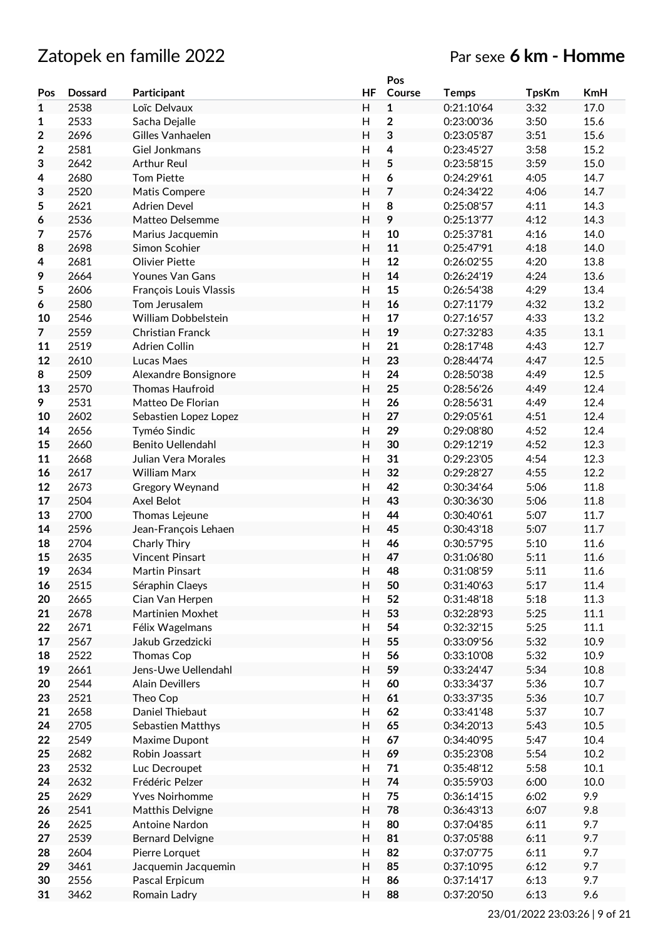# Zatopek en famille 2022 Par sexe **6 km - Homme**

|                |                |                            |                           | Pos            |              |              |            |
|----------------|----------------|----------------------------|---------------------------|----------------|--------------|--------------|------------|
| Pos            | <b>Dossard</b> | Participant                | <b>HF</b>                 | Course         | <b>Temps</b> | <b>TpsKm</b> | <b>KmH</b> |
| 1              | 2538           | Loïc Delvaux               | H                         | $\mathbf{1}$   | 0:21:10'64   | 3:32         | 17.0       |
|                | 2533           | Sacha Dejalle              | Η                         | $\mathbf 2$    | 0:23:00'36   | 3:50         | 15.6       |
| 1              |                |                            |                           |                |              |              |            |
| $\overline{2}$ | 2696           | Gilles Vanhaelen           | $\overline{H}$            | 3              | 0:23:05'87   | 3:51         | 15.6       |
| $\mathbf 2$    | 2581           | Giel Jonkmans              | H                         | $\overline{4}$ | 0:23:45'27   | 3:58         | 15.2       |
| 3              | 2642           | <b>Arthur Reul</b>         | H                         | 5              | 0:23:58'15   | 3:59         | 15.0       |
| 4              | 2680           | <b>Tom Piette</b>          | H                         | 6              | 0:24:29'61   | 4:05         | 14.7       |
| 3              | 2520           | Matis Compere              | H                         | $\overline{7}$ | 0:24:34'22   | 4:06         | 14.7       |
| 5              | 2621           | <b>Adrien Devel</b>        | $\overline{H}$            | 8              | 0:25:08'57   | 4:11         | 14.3       |
| 6              | 2536           | Matteo Delsemme            | H                         | 9              | 0:25:13'77   | 4:12         | 14.3       |
| 7              | 2576           | Marius Jacquemin           | H                         | 10             | 0:25:37'81   | 4:16         | 14.0       |
|                | 2698           | Simon Scohier              | $\overline{H}$            | 11             | 0:25:47'91   | 4:18         | 14.0       |
| 8              |                |                            |                           |                |              |              |            |
| 4              | 2681           | <b>Olivier Piette</b>      | H                         | 12             | 0:26:02'55   | 4:20         | 13.8       |
| 9              | 2664           | <b>Younes Van Gans</b>     | H                         | 14             | 0:26:24'19   | 4:24         | 13.6       |
| 5              | 2606           | François Louis Vlassis     | H                         | 15             | 0:26:54'38   | 4:29         | 13.4       |
| 6              | 2580           | Tom Jerusalem              | H                         | 16             | 0:27:11'79   | 4:32         | 13.2       |
| 10             | 2546           | <b>William Dobbelstein</b> | H                         | 17             | 0:27:16'57   | 4:33         | 13.2       |
| $\overline{7}$ | 2559           | Christian Franck           | H                         | 19             | 0:27:32'83   | 4:35         | 13.1       |
| 11             | 2519           | Adrien Collin              | H                         | 21             | 0:28:17'48   | 4:43         | 12.7       |
| 12             | 2610           | Lucas Maes                 | H                         | 23             | 0:28:44'74   | 4:47         | 12.5       |
| 8              | 2509           | Alexandre Bonsignore       | H                         | 24             | 0:28:50'38   | 4:49         | 12.5       |
| 13             | 2570           | <b>Thomas Haufroid</b>     | H                         | 25             | 0:28:56'26   | 4:49         | 12.4       |
|                |                |                            |                           |                |              |              |            |
| 9              | 2531           | Matteo De Florian          | H                         | 26             | 0:28:56'31   | 4:49         | 12.4       |
| 10             | 2602           | Sebastien Lopez Lopez      | H                         | 27             | 0:29:05'61   | 4:51         | 12.4       |
| 14             | 2656           | Tyméo Sindic               | H                         | 29             | 0:29:08'80   | 4:52         | 12.4       |
| 15             | 2660           | <b>Benito Uellendahl</b>   | H                         | 30             | 0:29:12'19   | 4:52         | 12.3       |
| 11             | 2668           | Julian Vera Morales        | H                         | 31             | 0:29:23'05   | 4:54         | 12.3       |
| 16             | 2617           | <b>William Marx</b>        | H                         | 32             | 0:29:28'27   | 4:55         | 12.2       |
| 12             | 2673           | Gregory Weynand            | H                         | 42             | 0:30:34'64   | 5:06         | 11.8       |
| 17             | 2504           | Axel Belot                 | H                         | 43             | 0:30:36'30   | 5:06         | 11.8       |
| 13             | 2700           | Thomas Lejeune             | H                         | 44             | 0:30:40'61   | 5:07         | 11.7       |
| 14             | 2596           | Jean-François Lehaen       | $\overline{H}$            | 45             | 0:30:43'18   | 5:07         | 11.7       |
|                |                |                            |                           |                |              |              |            |
| 18             | 2704           | Charly Thiry               | H                         | 46             | 0:30:57'95   | 5:10         | 11.6       |
| 15             | 2635           | <b>Vincent Pinsart</b>     | $\overline{H}$            | 47             | 0:31:06'80   | 5:11         | 11.6       |
| 19             | 2634           | <b>Martin Pinsart</b>      | Η                         | 48             | 0:31:08'59   | 5:11         | 11.6       |
| 16             | 2515           | Séraphin Claeys            | H                         | 50             | 0:31:40'63   | 5:17         | 11.4       |
| 20             | 2665           | Cian Van Herpen            | H                         | 52             | 0:31:48'18   | 5:18         | 11.3       |
| 21             | 2678           | Martinien Moxhet           | H                         | 53             | 0:32:28'93   | 5:25         | 11.1       |
| 22             | 2671           | Félix Wagelmans            | H                         | 54             | 0:32:32'15   | 5:25         | 11.1       |
| 17             | 2567           | Jakub Grzedzicki           | Н                         | 55             | 0:33:09'56   | 5:32         | 10.9       |
| 18             | 2522           | Thomas Cop                 | $\mathsf{H}$              | 56             | 0:33:10'08   | 5:32         | 10.9       |
| 19             | 2661           | Jens-Uwe Uellendahl        | Н                         | 59             | 0:33:24'47   | 5:34         | 10.8       |
| 20             | 2544           | <b>Alain Devillers</b>     | Н                         | 60             | 0:33:34'37   | 5:36         | 10.7       |
|                |                |                            |                           |                |              |              |            |
| 23             | 2521           | Theo Cop                   | Н                         | 61             | 0:33:37'35   | 5:36         | 10.7       |
| 21             | 2658           | Daniel Thiebaut            | Н                         | 62             | 0:33:41'48   | 5:37         | 10.7       |
| 24             | 2705           | Sebastien Matthys          | H                         | 65             | 0:34:20'13   | 5:43         | 10.5       |
| 22             | 2549           | Maxime Dupont              | H                         | 67             | 0:34:40'95   | 5:47         | 10.4       |
| 25             | 2682           | Robin Joassart             | H                         | 69             | 0:35:23'08   | 5:54         | 10.2       |
| 23             | 2532           | Luc Decroupet              | $\boldsymbol{\mathsf{H}}$ | 71             | 0:35:48'12   | 5:58         | 10.1       |
| 24             | 2632           | Frédéric Pelzer            | Н                         | 74             | 0:35:59'03   | 6:00         | 10.0       |
| 25             | 2629           | <b>Yves Noirhomme</b>      | $\overline{H}$            | 75             | 0:36:14'15   | 6:02         | 9.9        |
| 26             | 2541           | Matthis Delvigne           | Н                         | 78             | 0:36:43'13   | 6:07         | 9.8        |
|                |                |                            |                           |                |              |              |            |
| 26             | 2625           | Antoine Nardon             | H                         | 80             | 0:37:04'85   | 6:11         | 9.7        |
| 27             | 2539           | <b>Bernard Delvigne</b>    | Н                         | 81             | 0:37:05'88   | 6:11         | 9.7        |
| 28             | 2604           | Pierre Lorquet             | H                         | 82             | 0:37:07'75   | 6:11         | 9.7        |
| 29             | 3461           | Jacquemin Jacquemin        | H                         | 85             | 0:37:10'95   | 6:12         | 9.7        |
| 30             | 2556           | Pascal Erpicum             | H                         | 86             | 0:37:14'17   | 6:13         | 9.7        |
| 31             | 3462           | Romain Ladry               | H                         | 88             | 0:37:20'50   | 6:13         | 9.6        |
|                |                |                            |                           |                |              |              |            |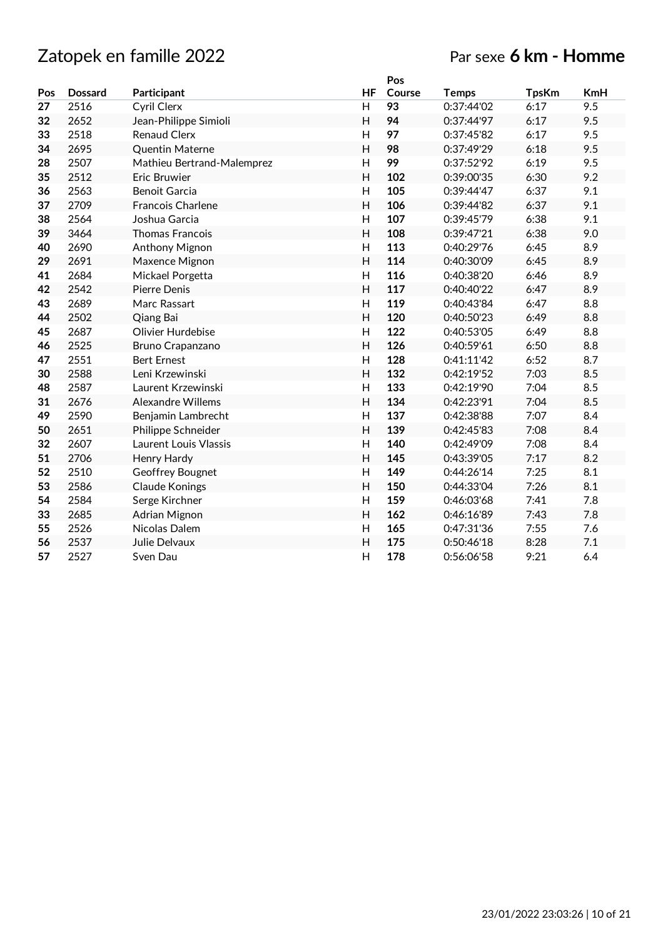|     |                |                            |           | Pos    |              |              |            |
|-----|----------------|----------------------------|-----------|--------|--------------|--------------|------------|
| Pos | <b>Dossard</b> | Participant                | <b>HF</b> | Course | <b>Temps</b> | <b>TpsKm</b> | <b>KmH</b> |
| 27  | 2516           | <b>Cyril Clerx</b>         | H         | 93     | 0:37:44'02   | 6:17         | 9.5        |
| 32  | 2652           | Jean-Philippe Simioli      | H         | 94     | 0:37:44'97   | 6:17         | 9.5        |
| 33  | 2518           | <b>Renaud Clerx</b>        | H         | 97     | 0:37:45'82   | 6:17         | 9.5        |
| 34  | 2695           | <b>Quentin Materne</b>     | H         | 98     | 0:37:49'29   | 6:18         | 9.5        |
| 28  | 2507           | Mathieu Bertrand-Malemprez | H         | 99     | 0:37:52'92   | 6:19         | 9.5        |
| 35  | 2512           | Eric Bruwier               | H         | 102    | 0:39:00'35   | 6:30         | 9.2        |
| 36  | 2563           | <b>Benoit Garcia</b>       | H         | 105    | 0:39:44'47   | 6:37         | 9.1        |
| 37  | 2709           | <b>Francois Charlene</b>   | H         | 106    | 0:39:44'82   | 6:37         | 9.1        |
| 38  | 2564           | Joshua Garcia              | H         | 107    | 0:39:45'79   | 6:38         | 9.1        |
| 39  | 3464           | <b>Thomas Francois</b>     | H         | 108    | 0:39:47'21   | 6:38         | 9.0        |
| 40  | 2690           | Anthony Mignon             | H         | 113    | 0:40:29'76   | 6:45         | 8.9        |
| 29  | 2691           | Maxence Mignon             | H         | 114    | 0:40:30'09   | 6:45         | 8.9        |
| 41  | 2684           | Mickael Porgetta           | H         | 116    | 0:40:38'20   | 6:46         | 8.9        |
| 42  | 2542           | Pierre Denis               | H         | 117    | 0:40:40'22   | 6:47         | 8.9        |
| 43  | 2689           | Marc Rassart               | H         | 119    | 0:40:43'84   | 6:47         | 8.8        |
| 44  | 2502           | Qiang Bai                  | H         | 120    | 0:40:50'23   | 6:49         | 8.8        |
| 45  | 2687           | Olivier Hurdebise          | H         | 122    | 0:40:53'05   | 6:49         | 8.8        |
| 46  | 2525           | Bruno Crapanzano           | H         | 126    | 0:40:59'61   | 6:50         | 8.8        |
| 47  | 2551           | <b>Bert Ernest</b>         | H         | 128    | 0:41:11'42   | 6:52         | 8.7        |
| 30  | 2588           | Leni Krzewinski            | H         | 132    | 0:42:19'52   | 7:03         | 8.5        |
| 48  | 2587           | Laurent Krzewinski         | H         | 133    | 0:42:19'90   | 7:04         | 8.5        |
| 31  | 2676           | <b>Alexandre Willems</b>   | H         | 134    | 0:42:23'91   | 7:04         | 8.5        |
| 49  | 2590           | Benjamin Lambrecht         | H         | 137    | 0:42:38'88   | 7:07         | 8.4        |
| 50  | 2651           | Philippe Schneider         | H         | 139    | 0:42:45'83   | 7:08         | 8.4        |
| 32  | 2607           | Laurent Louis Vlassis      | H         | 140    | 0:42:49'09   | 7:08         | 8.4        |
| 51  | 2706           | Henry Hardy                | H         | 145    | 0:43:39'05   | 7:17         | 8.2        |
| 52  | 2510           | Geoffrey Bougnet           | H         | 149    | 0:44:26'14   | 7:25         | 8.1        |
| 53  | 2586           | <b>Claude Konings</b>      | H         | 150    | 0:44:33'04   | 7:26         | 8.1        |
| 54  | 2584           | Serge Kirchner             | H         | 159    | 0:46:03'68   | 7:41         | 7.8        |
| 33  | 2685           | Adrian Mignon              | H         | 162    | 0:46:16'89   | 7:43         | 7.8        |
| 55  | 2526           | Nicolas Dalem              | H         | 165    | 0:47:31'36   | 7:55         | 7.6        |
| 56  | 2537           | Julie Delvaux              | H         | 175    | 0:50:46'18   | 8:28         | 7.1        |
| 57  | 2527           | Sven Dau                   | H         | 178    | 0:56:06'58   | 9:21         | 6.4        |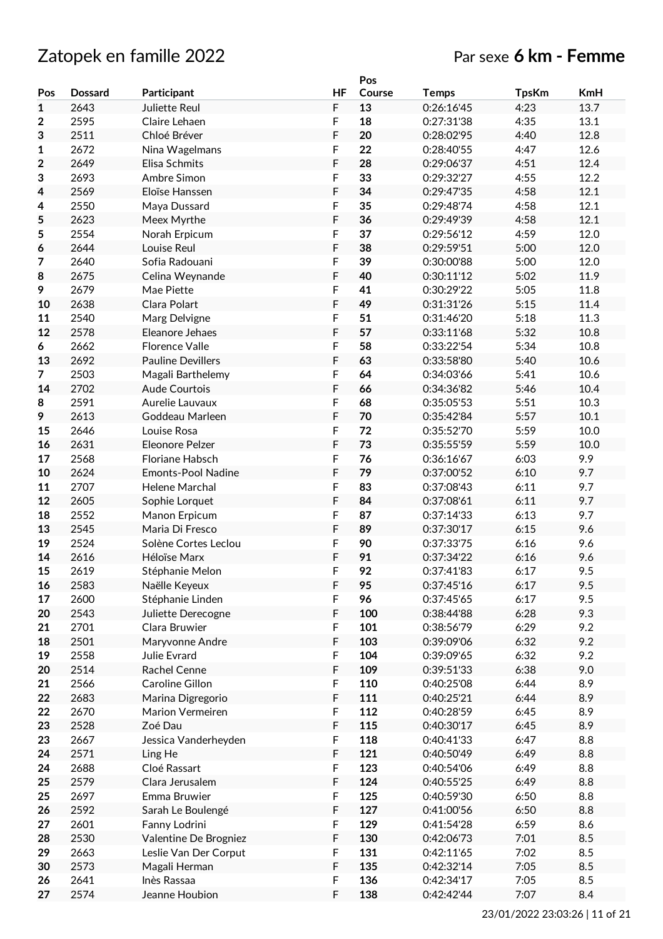# Zatopek en famille 2022 Par sexe **6 km - Femme**

|     |                |                           |             | Pos    |              |              |            |
|-----|----------------|---------------------------|-------------|--------|--------------|--------------|------------|
| Pos | <b>Dossard</b> | Participant               | <b>HF</b>   | Course | <b>Temps</b> | <b>TpsKm</b> | <b>KmH</b> |
| 1   | 2643           | Juliette Reul             | F           | 13     | 0:26:16'45   | 4:23         | 13.7       |
| 2   | 2595           | Claire Lehaen             | F           | 18     | 0:27:31'38   | 4:35         | 13.1       |
| 3   | 2511           | Chloé Bréver              | F           | 20     | 0:28:02'95   | 4:40         | 12.8       |
| 1   | 2672           | Nina Wagelmans            | F           | 22     | 0:28:40'55   | 4:47         | 12.6       |
| 2   | 2649           | Elisa Schmits             | F           | 28     | 0:29:06'37   | 4:51         | 12.4       |
| 3   | 2693           | Ambre Simon               | F           | 33     | 0:29:32'27   | 4:55         | 12.2       |
| 4   | 2569           | Eloïse Hanssen            | F           | 34     | 0:29:47'35   | 4:58         | 12.1       |
|     | 2550           |                           | F           | 35     | 0:29:48'74   | 4:58         | 12.1       |
| 4   |                | Maya Dussard              | F           | 36     | 0:29:49'39   |              |            |
| 5   | 2623           | Meex Myrthe               |             |        |              | 4:58         | 12.1       |
| 5   | 2554           | Norah Erpicum             | F           | 37     | 0:29:56'12   | 4:59         | 12.0       |
| 6   | 2644           | Louise Reul               | F           | 38     | 0:29:59'51   | 5:00         | 12.0       |
| 7   | 2640           | Sofia Radouani            | F           | 39     | 0:30:00'88   | 5:00         | 12.0       |
| 8   | 2675           | Celina Weynande           | F           | 40     | 0:30:11'12   | 5:02         | 11.9       |
| 9   | 2679           | Mae Piette                | F           | 41     | 0:30:29'22   | 5:05         | 11.8       |
| 10  | 2638           | Clara Polart              | F           | 49     | 0:31:31'26   | 5:15         | 11.4       |
| 11  | 2540           | Marg Delvigne             | F           | 51     | 0:31:46'20   | 5:18         | 11.3       |
| 12  | 2578           | Eleanore Jehaes           | F           | 57     | 0:33:11'68   | 5:32         | 10.8       |
| 6   | 2662           | <b>Florence Valle</b>     | F           | 58     | 0:33:22'54   | 5:34         | 10.8       |
| 13  | 2692           | <b>Pauline Devillers</b>  | F           | 63     | 0:33:58'80   | 5:40         | 10.6       |
| 7   | 2503           | Magali Barthelemy         | F           | 64     | 0:34:03'66   | 5:41         | 10.6       |
| 14  | 2702           | Aude Courtois             | F           | 66     | 0:34:36'82   | 5:46         | 10.4       |
| 8   | 2591           | Aurelie Lauvaux           | F           | 68     | 0:35:05'53   | 5:51         | 10.3       |
| 9   | 2613           | Goddeau Marleen           | F           | 70     | 0:35:42'84   | 5:57         | 10.1       |
| 15  | 2646           | Louise Rosa               | F           | 72     | 0:35:52'70   | 5:59         | 10.0       |
| 16  | 2631           | Eleonore Pelzer           | F           | 73     | 0:35:55'59   | 5:59         | 10.0       |
| 17  | 2568           | Floriane Habsch           | $\mathsf F$ | 76     | 0:36:16'67   | 6:03         | 9.9        |
| 10  | 2624           | <b>Emonts-Pool Nadine</b> | $\mathsf F$ | 79     | 0:37:00'52   | 6:10         | 9.7        |
| 11  | 2707           | Helene Marchal            | F           | 83     | 0:37:08'43   | 6:11         | 9.7        |
| 12  |                |                           | F           |        |              |              | 9.7        |
|     | 2605           | Sophie Lorquet            |             | 84     | 0:37:08'61   | 6:11         |            |
| 18  | 2552           | Manon Erpicum             | F           | 87     | 0:37:14'33   | 6:13         | 9.7        |
| 13  | 2545           | Maria Di Fresco           | F           | 89     | 0:37:30'17   | 6:15         | 9.6        |
| 19  | 2524           | Solène Cortes Leclou      | F           | 90     | 0:37:33'75   | 6:16         | 9.6        |
| 14  | 2616           | Héloïse Marx              | F           | 91     | 0:37:34'22   | 6:16         | 9.6        |
| 15  | 2619           | Stéphanie Melon           | F           | 92     | 0:37:41'83   | 6:17         | 9.5        |
| 16  | 2583           | Naëlle Keyeux             | F           | 95     | 0:37:45'16   | 6:17         | 9.5        |
| 17  | 2600           | Stéphanie Linden          | $\mathsf F$ | 96     | 0:37:45'65   | 6:17         | 9.5        |
| 20  | 2543           | Juliette Derecogne        | F           | 100    | 0:38:44'88   | 6:28         | 9.3        |
| 21  | 2701           | Clara Bruwier             | F           | 101    | 0:38:56'79   | 6:29         | 9.2        |
| 18  | 2501           | Maryvonne Andre           | F           | 103    | 0:39:09'06   | 6:32         | 9.2        |
| 19  | 2558           | Julie Evrard              | F           | 104    | 0:39:09'65   | 6:32         | 9.2        |
| 20  | 2514           | Rachel Cenne              | F           | 109    | 0:39:51'33   | 6:38         | 9.0        |
| 21  | 2566           | Caroline Gillon           | $\mathsf F$ | 110    | 0:40:25'08   | 6:44         | 8.9        |
| 22  | 2683           | Marina Digregorio         | F           | 111    | 0:40:25'21   | 6:44         | 8.9        |
| 22  | 2670           | Marion Vermeiren          | F           | 112    | 0:40:28'59   | 6:45         | 8.9        |
| 23  | 2528           | Zoé Dau                   | F           | 115    | 0:40:30'17   | 6:45         | 8.9        |
| 23  | 2667           | Jessica Vanderheyden      | $\mathsf F$ | 118    | 0:40:41'33   | 6:47         | 8.8        |
| 24  | 2571           | Ling He                   | $\mathsf F$ | 121    | 0:40:50'49   | 6:49         | 8.8        |
| 24  | 2688           | Cloé Rassart              | F           | 123    | 0:40:54'06   | 6:49         | 8.8        |
| 25  | 2579           | Clara Jerusalem           | F           | 124    | 0:40:55'25   | 6:49         | 8.8        |
| 25  | 2697           | Emma Bruwier              | F           | 125    | 0:40:59'30   | 6:50         | 8.8        |
|     |                |                           | F           |        |              |              |            |
| 26  | 2592           | Sarah Le Boulengé         |             | 127    | 0:41:00'56   | 6:50         | 8.8        |
| 27  | 2601           | Fanny Lodrini             | F           | 129    | 0:41:54'28   | 6:59         | 8.6        |
| 28  | 2530           | Valentine De Brogniez     | F           | 130    | 0:42:06'73   | 7:01         | 8.5        |
| 29  | 2663           | Leslie Van Der Corput     | F           | 131    | 0:42:11'65   | 7:02         | 8.5        |
| 30  | 2573           | Magali Herman             | F           | 135    | 0:42:32'14   | 7:05         | 8.5        |
| 26  | 2641           | Inès Rassaa               | F           | 136    | 0:42:34'17   | 7:05         | 8.5        |
| 27  | 2574           | Jeanne Houbion            | $\mathsf F$ | 138    | 0:42:42'44   | 7:07         | 8.4        |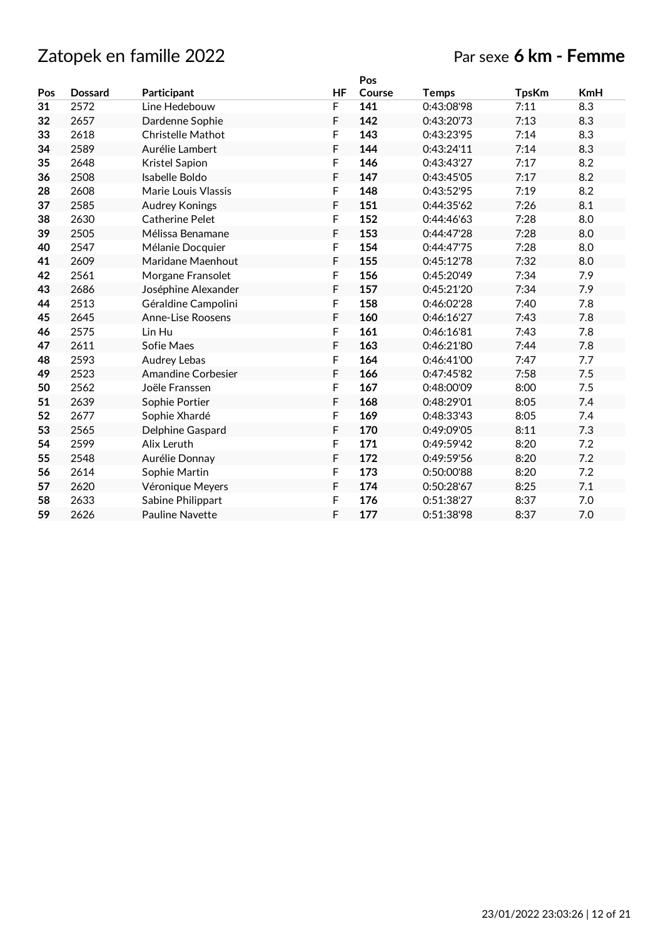### Par sexe **6 km - Femme**

|     |                |                           |    | Pos    |              |              |            |
|-----|----------------|---------------------------|----|--------|--------------|--------------|------------|
| Pos | <b>Dossard</b> | Participant               | HF | Course | <b>Temps</b> | <b>TpsKm</b> | <b>KmH</b> |
| 31  | 2572           | Line Hedebouw             | F  | 141    | 0:43:08'98   | 7:11         | 8.3        |
| 32  | 2657           | Dardenne Sophie           | F  | 142    | 0:43:20'73   | 7:13         | 8.3        |
| 33  | 2618           | <b>Christelle Mathot</b>  | F  | 143    | 0:43:23'95   | 7:14         | 8.3        |
| 34  | 2589           | Aurélie Lambert           | F  | 144    | 0:43:24'11   | 7:14         | 8.3        |
| 35  | 2648           | Kristel Sapion            | F  | 146    | 0:43:43'27   | 7:17         | 8.2        |
| 36  | 2508           | Isabelle Boldo            | F  | 147    | 0:43:45'05   | 7:17         | 8.2        |
| 28  | 2608           | Marie Louis Vlassis       | F  | 148    | 0:43:52'95   | 7:19         | 8.2        |
| 37  | 2585           | <b>Audrey Konings</b>     | F  | 151    | 0:44:35'62   | 7:26         | 8.1        |
| 38  | 2630           | <b>Catherine Pelet</b>    | F  | 152    | 0:44:46'63   | 7:28         | 8.0        |
| 39  | 2505           | Mélissa Benamane          | F  | 153    | 0:44:47'28   | 7:28         | 8.0        |
| 40  | 2547           | Mélanie Docquier          | F  | 154    | 0:44:47'75   | 7:28         | 8.0        |
| 41  | 2609           | Maridane Maenhout         | F  | 155    | 0:45:12'78   | 7:32         | 8.0        |
| 42  | 2561           | Morgane Fransolet         | F  | 156    | 0:45:20'49   | 7:34         | 7.9        |
| 43  | 2686           | Joséphine Alexander       | F  | 157    | 0:45:21'20   | 7:34         | 7.9        |
| 44  | 2513           | Géraldine Campolini       | F  | 158    | 0:46:02'28   | 7:40         | 7.8        |
| 45  | 2645           | <b>Anne-Lise Roosens</b>  | F  | 160    | 0:46:16'27   | 7:43         | 7.8        |
| 46  | 2575           | Lin Hu                    | F  | 161    | 0:46:16'81   | 7:43         | 7.8        |
| 47  | 2611           | Sofie Maes                | F  | 163    | 0:46:21'80   | 7:44         | 7.8        |
| 48  | 2593           | <b>Audrey Lebas</b>       | F  | 164    | 0:46:41'00   | 7:47         | 7.7        |
| 49  | 2523           | <b>Amandine Corbesier</b> | F  | 166    | 0:47:45'82   | 7:58         | 7.5        |
| 50  | 2562           | Joële Franssen            | F  | 167    | 0:48:00'09   | 8:00         | 7.5        |
| 51  | 2639           | Sophie Portier            | F  | 168    | 0:48:29'01   | 8:05         | 7.4        |
| 52  | 2677           | Sophie Xhardé             | F  | 169    | 0:48:33'43   | 8:05         | 7.4        |
| 53  | 2565           | Delphine Gaspard          | F  | 170    | 0:49:09'05   | 8:11         | 7.3        |
| 54  | 2599           | Alix Leruth               | F  | 171    | 0:49:59'42   | 8:20         | 7.2        |
| 55  | 2548           | Aurélie Donnay            | F  | 172    | 0:49:59'56   | 8:20         | 7.2        |
| 56  | 2614           | Sophie Martin             | F  | 173    | 0:50:00'88   | 8:20         | 7.2        |
| 57  | 2620           | Véronique Meyers          | F  | 174    | 0:50:28'67   | 8:25         | 7.1        |
| 58  | 2633           | Sabine Philippart         | F  | 176    | 0:51:38'27   | 8:37         | 7.0        |
| 59  | 2626           | <b>Pauline Navette</b>    | F  | 177    | 0:51:38'98   | 8:37         | 7.0        |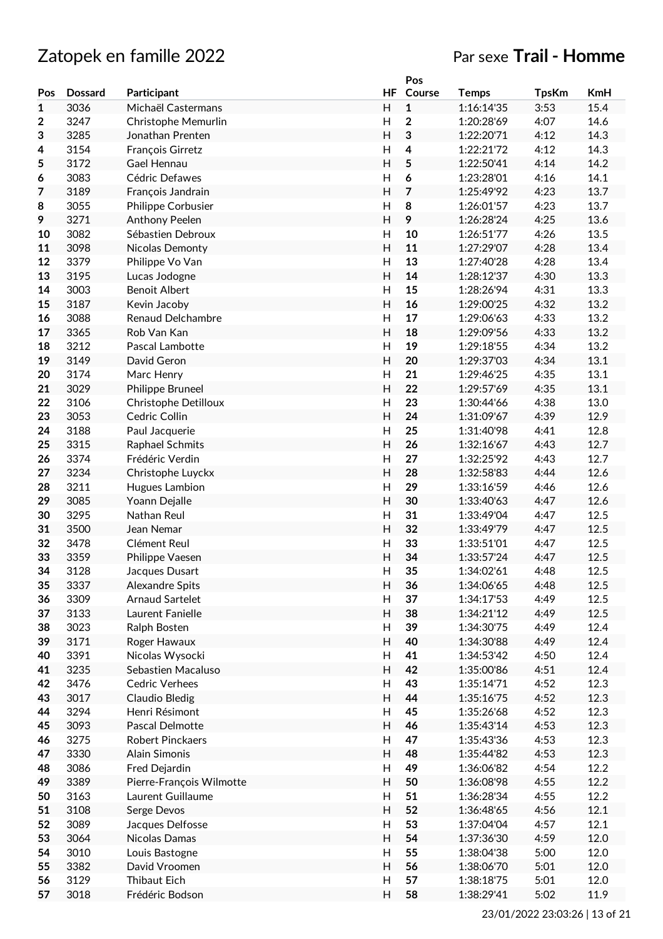# Zatopek en famille 2022 Par sexe **Trail - Homme**

|              |                |                          |                         | Pos            |              |              |      |
|--------------|----------------|--------------------------|-------------------------|----------------|--------------|--------------|------|
| Pos          | <b>Dossard</b> | Participant              | HF                      | Course         | <b>Temps</b> | <b>TpsKm</b> | KmH  |
| $\mathbf{1}$ | 3036           | Michaël Castermans       | H                       | $\mathbf 1$    | 1:16:14'35   | 3:53         | 15.4 |
| 2            | 3247           | Christophe Memurlin      | $\mathsf{H}$            | $\mathbf{2}$   | 1:20:28'69   | 4:07         | 14.6 |
| 3            | 3285           | Jonathan Prenten         | $\overline{H}$          | 3              | 1:22:20'71   | 4:12         | 14.3 |
| 4            | 3154           | François Girretz         | H                       | 4              | 1:22:21'72   | 4:12         | 14.3 |
| 5            | 3172           | Gael Hennau              | $\mathsf{H}$            | 5              | 1:22:50'41   | 4:14         | 14.2 |
|              | 3083           | Cédric Defawes           | H                       | 6              | 1:23:28'01   | 4:16         | 14.1 |
| 6            |                |                          |                         |                |              |              |      |
| 7            | 3189           | François Jandrain        | H                       | $\overline{7}$ | 1:25:49'92   | 4:23         | 13.7 |
| 8            | 3055           | Philippe Corbusier       | H                       | 8              | 1:26:01'57   | 4:23         | 13.7 |
| 9            | 3271           | Anthony Peelen           | H                       | 9              | 1:26:28'24   | 4:25         | 13.6 |
| 10           | 3082           | Sébastien Debroux        | $\mathsf{H}$            | 10             | 1:26:51'77   | 4:26         | 13.5 |
| 11           | 3098           | Nicolas Demonty          | $\overline{H}$          | 11             | 1:27:29'07   | 4:28         | 13.4 |
| 12           | 3379           | Philippe Vo Van          | H                       | 13             | 1:27:40'28   | 4:28         | 13.4 |
| 13           | 3195           | Lucas Jodogne            | $\overline{H}$          | 14             | 1:28:12'37   | 4:30         | 13.3 |
| 14           | 3003           | <b>Benoit Albert</b>     | $\mathsf{H}%$           | 15             | 1:28:26'94   | 4:31         | 13.3 |
| 15           | 3187           | Kevin Jacoby             | $\mathsf{H}$            | 16             | 1:29:00'25   | 4:32         | 13.2 |
| 16           | 3088           | Renaud Delchambre        | H                       | 17             | 1:29:06'63   | 4:33         | 13.2 |
| 17           | 3365           | Rob Van Kan              | H                       | 18             | 1:29:09'56   | 4:33         | 13.2 |
| 18           | 3212           | Pascal Lambotte          | $\overline{H}$          | 19             | 1:29:18'55   | 4:34         | 13.2 |
| 19           | 3149           | David Geron              | $\overline{\mathsf{H}}$ | 20             | 1:29:37'03   | 4:34         | 13.1 |
| 20           | 3174           | Marc Henry               | $\overline{H}$          | 21             | 1:29:46'25   | 4:35         | 13.1 |
| 21           | 3029           |                          | $\overline{H}$          | 22             | 1:29:57'69   | 4:35         | 13.1 |
|              |                | Philippe Bruneel         |                         |                |              |              |      |
| 22           | 3106           | Christophe Detilloux     | H                       | 23             | 1:30:44'66   | 4:38         | 13.0 |
| 23           | 3053           | Cedric Collin            | $\overline{H}$          | 24             | 1:31:09'67   | 4:39         | 12.9 |
| 24           | 3188           | Paul Jacquerie           | $\mathsf{H}$            | 25             | 1:31:40'98   | 4:41         | 12.8 |
| 25           | 3315           | Raphael Schmits          | $\mathsf{H}$            | 26             | 1:32:16'67   | 4:43         | 12.7 |
| 26           | 3374           | Frédéric Verdin          | H                       | 27             | 1:32:25'92   | 4:43         | 12.7 |
| 27           | 3234           | Christophe Luyckx        | H                       | 28             | 1:32:58'83   | 4:44         | 12.6 |
| 28           | 3211           | Hugues Lambion           | $\mathsf{H}$            | 29             | 1:33:16'59   | 4:46         | 12.6 |
| 29           | 3085           | Yoann Dejalle            | $\overline{H}$          | 30             | 1:33:40'63   | 4:47         | 12.6 |
| 30           | 3295           | Nathan Reul              | $\mathsf{H}$            | 31             | 1:33:49'04   | 4:47         | 12.5 |
| 31           | 3500           | Jean Nemar               | $\overline{H}$          | 32             | 1:33:49'79   | 4:47         | 12.5 |
| 32           | 3478           | Clément Reul             | $\mathsf{H}%$           | 33             | 1:33:51'01   | 4:47         | 12.5 |
| 33           | 3359           | Philippe Vaesen          | $\overline{H}$          | 34             | 1:33:57'24   | 4:47         | 12.5 |
| 34           | 3128           | Jacques Dusart           | $\mathsf{H}$            | 35             | 1:34:02'61   | 4:48         | 12.5 |
| 35           | 3337           | Alexandre Spits          | H                       | 36             | 1:34:06'65   | 4:48         | 12.5 |
| 36           | 3309           | <b>Arnaud Sartelet</b>   | $\mathsf{H}%$           | 37             | 1:34:17'53   | 4:49         | 12.5 |
| 37           | 3133           | Laurent Fanielle         | H                       | 38             | 1:34:21'12   | 4:49         | 12.5 |
| 38           | 3023           | Ralph Bosten             | H                       | 39             | 1:34:30'75   | 4:49         | 12.4 |
|              |                |                          | $\mathsf{H}$            |                |              |              | 12.4 |
| 39           | 3171           | Roger Hawaux             |                         | 40             | 1:34:30'88   | 4:49         |      |
| 40           | 3391           | Nicolas Wysocki          | $\mathsf{H}%$           | 41             | 1:34:53'42   | 4:50         | 12.4 |
| 41           | 3235           | Sebastien Macaluso       | $\mathsf{H}$            | 42             | 1:35:00'86   | 4:51         | 12.4 |
| 42           | 3476           | <b>Cedric Verhees</b>    | $\mathsf{H}%$           | 43             | 1:35:14'71   | 4:52         | 12.3 |
| 43           | 3017           | Claudio Bledig           | $\overline{\mathsf{H}}$ | 44             | 1:35:16'75   | 4:52         | 12.3 |
| 44           | 3294           | Henri Résimont           | $\mathsf{H}%$           | 45             | 1:35:26'68   | 4:52         | 12.3 |
| 45           | 3093           | Pascal Delmotte          | $\mathsf{H}$            | 46             | 1:35:43'14   | 4:53         | 12.3 |
| 46           | 3275           | <b>Robert Pinckaers</b>  | H                       | 47             | 1:35:43'36   | 4:53         | 12.3 |
| 47           | 3330           | Alain Simonis            | $\overline{H}$          | 48             | 1:35:44'82   | 4:53         | 12.3 |
| 48           | 3086           | Fred Dejardin            | $\overline{H}$          | 49             | 1:36:06'82   | 4:54         | 12.2 |
| 49           | 3389           | Pierre-François Wilmotte | $\overline{\mathsf{H}}$ | 50             | 1:36:08'98   | 4:55         | 12.2 |
| 50           | 3163           | Laurent Guillaume        | H                       | 51             | 1:36:28'34   | 4:55         | 12.2 |
| 51           | 3108           | Serge Devos              | $\overline{H}$          | 52             | 1:36:48'65   | 4:56         | 12.1 |
| 52           | 3089           | Jacques Delfosse         | H                       | 53             | 1:37:04'04   | 4:57         | 12.1 |
| 53           | 3064           | Nicolas Damas            | $\mathsf{H}$            | 54             | 1:37:36'30   | 4:59         | 12.0 |
|              |                |                          |                         |                |              |              |      |
| 54           | 3010           | Louis Bastogne           | Н                       | 55             | 1:38:04'38   | 5:00         | 12.0 |
| 55           | 3382           | David Vroomen            | Н                       | 56             | 1:38:06'70   | 5:01         | 12.0 |
| 56           | 3129           | Thibaut Eich             | Н                       | 57             | 1:38:18'75   | 5:01         | 12.0 |
| 57           | 3018           | Frédéric Bodson          | H                       | 58             | 1:38:29'41   | 5:02         | 11.9 |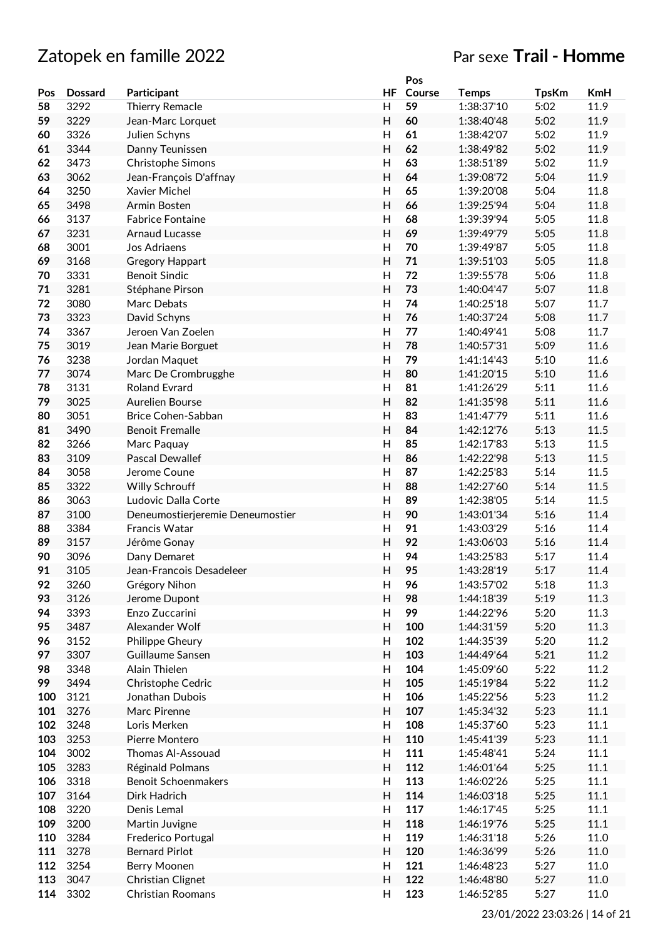|     |                |                                  |                         | Pos    |                          |              |            |
|-----|----------------|----------------------------------|-------------------------|--------|--------------------------|--------------|------------|
| Pos | <b>Dossard</b> | Participant                      | HF                      | Course | <b>Temps</b>             | <b>TpsKm</b> | <b>KmH</b> |
| 58  | 3292           | <b>Thierry Remacle</b>           | Н                       | 59     | 1:38:37'10               | 5:02         | 11.9       |
| 59  | 3229           | Jean-Marc Lorquet                | Η                       | 60     | 1:38:40'48               | 5:02         | 11.9       |
| 60  | 3326           | Julien Schyns                    | $\mathsf{H}$            | 61     | 1:38:42'07               | 5:02         | 11.9       |
| 61  | 3344           | Danny Teunissen                  | H                       | 62     | 1:38:49'82               | 5:02         | 11.9       |
| 62  | 3473           | Christophe Simons                | H                       | 63     | 1:38:51'89               | 5:02         | 11.9       |
| 63  | 3062           | Jean-François D'affnay           | H                       | 64     | 1:39:08'72               | 5:04         | 11.9       |
| 64  | 3250           | Xavier Michel                    | $\mathsf{H}$            | 65     | 1:39:20'08               | 5:04         | 11.8       |
| 65  | 3498           | Armin Bosten                     | $\mathsf{H}$            | 66     | 1:39:25'94               | 5:04         | 11.8       |
| 66  | 3137           | <b>Fabrice Fontaine</b>          | Η                       | 68     | 1:39:39'94               | 5:05         | 11.8       |
| 67  | 3231           | <b>Arnaud Lucasse</b>            | Н                       | 69     | 1:39:49'79               | 5:05         | 11.8       |
| 68  | 3001           | Jos Adriaens                     | $\mathsf{H}$            | 70     | 1:39:49'87               | 5:05         | 11.8       |
| 69  | 3168           | <b>Gregory Happart</b>           | $\overline{H}$          | 71     | 1:39:51'03               | 5:05         | 11.8       |
| 70  | 3331           | <b>Benoit Sindic</b>             | $\mathsf{H}$            | 72     | 1:39:55'78               | 5:06         | 11.8       |
| 71  | 3281           | Stéphane Pirson                  | H                       | 73     | 1:40:04'47               | 5:07         | 11.8       |
| 72  | 3080           | Marc Debats                      | $\mathsf{H}$            | 74     |                          |              | 11.7       |
|     |                |                                  |                         |        | 1:40:25'18<br>1:40:37'24 | 5:07         | 11.7       |
| 73  | 3323           | David Schyns                     | H                       | 76     |                          | 5:08         |            |
| 74  | 3367           | Jeroen Van Zoelen                | $\overline{H}$          | 77     | 1:40:49'41               | 5:08         | 11.7       |
| 75  | 3019           | Jean Marie Borguet               | $\mathsf{H}$            | 78     | 1:40:57'31               | 5:09         | 11.6       |
| 76  | 3238           | Jordan Maquet                    | Η                       | 79     | 1:41:14'43               | 5:10         | 11.6       |
| 77  | 3074           | Marc De Crombrugghe              | Н                       | 80     | 1:41:20'15               | 5:10         | 11.6       |
| 78  | 3131           | <b>Roland Evrard</b>             | $\overline{H}$          | 81     | 1:41:26'29               | 5:11         | 11.6       |
| 79  | 3025           | Aurelien Bourse                  | $\overline{H}$          | 82     | 1:41:35'98               | 5:11         | 11.6       |
| 80  | 3051           | Brice Cohen-Sabban               | $\mathsf{H}$            | 83     | 1:41:47'79               | 5:11         | 11.6       |
| 81  | 3490           | <b>Benoit Fremalle</b>           | H                       | 84     | 1:42:12'76               | 5:13         | 11.5       |
| 82  | 3266           | Marc Paquay                      | $\mathsf{H}$            | 85     | 1:42:17'83               | 5:13         | 11.5       |
| 83  | 3109           | Pascal Dewallef                  | Η                       | 86     | 1:42:22'98               | 5:13         | 11.5       |
| 84  | 3058           | Jerome Coune                     | $\mathsf{H}$            | 87     | 1:42:25'83               | 5:14         | 11.5       |
| 85  | 3322           | <b>Willy Schrouff</b>            | $\mathsf{H}$            | 88     | 1:42:27'60               | 5:14         | 11.5       |
| 86  | 3063           | Ludovic Dalla Corte              | $\mathsf{H}$            | 89     | 1:42:38'05               | 5:14         | 11.5       |
| 87  | 3100           | Deneumostierjeremie Deneumostier | Н                       | 90     | 1:43:01'34               | 5:16         | 11.4       |
| 88  | 3384           | Francis Watar                    | $\mathsf{H}$            | 91     | 1:43:03'29               | 5:16         | 11.4       |
| 89  | 3157           | Jérôme Gonay                     | H                       | 92     | 1:43:06'03               | 5:16         | 11.4       |
| 90  | 3096           | Dany Demaret                     | $\mathsf{H}$            | 94     | 1:43:25'83               | 5:17         | 11.4       |
| 91  | 3105           | Jean-Francois Desadeleer         | H                       | 95     | 1:43:28'19               | 5:17         | 11.4       |
| 92  | 3260           | Grégory Nihon                    | H                       | 96     | 1:43:57'02               | 5:18         | 11.3       |
| 93  | 3126           | Jerome Dupont                    | H                       | 98     | 1:44:18'39               | 5:19         | 11.3       |
| 94  | 3393           | Enzo Zuccarini                   | H                       | 99     | 1:44:22'96               | 5:20         | 11.3       |
| 95  | 3487           | Alexander Wolf                   | H                       | 100    | 1:44:31'59               | 5:20         | 11.3       |
| 96  | 3152           | Philippe Gheury                  | H                       | 102    | 1:44:35'39               | 5:20         | 11.2       |
| 97  | 3307           | Guillaume Sansen                 | H                       | 103    | 1:44:49'64               | 5:21         | 11.2       |
| 98  | 3348           | Alain Thielen                    | $\mathsf{H}$            | 104    | 1:45:09'60               | 5:22         | 11.2       |
| 99  | 3494           | Christophe Cedric                | $\overline{\mathsf{H}}$ | 105    | 1:45:19'84               | 5:22         | 11.2       |
| 100 | 3121           | Jonathan Dubois                  | Н                       | 106    | 1:45:22'56               | 5:23         | 11.2       |
| 101 | 3276           | Marc Pirenne                     | $\mathsf{H}$            | 107    | 1:45:34'32               | 5:23         | 11.1       |
| 102 | 3248           | Loris Merken                     | Н                       | 108    | 1:45:37'60               | 5:23         | 11.1       |
| 103 | 3253           | Pierre Montero                   | H                       | 110    | 1:45:41'39               | 5:23         | 11.1       |
| 104 | 3002           | Thomas Al-Assouad                | H                       | 111    | 1:45:48'41               | 5:24         | 11.1       |
| 105 | 3283           | Réginald Polmans                 | H                       | 112    | 1:46:01'64               | 5:25         | 11.1       |
| 106 | 3318           | <b>Benoit Schoenmakers</b>       | H                       | 113    | 1:46:02'26               | 5:25         | 11.1       |
| 107 | 3164           | Dirk Hadrich                     | H                       | 114    | 1:46:03'18               | 5:25         | 11.1       |
| 108 | 3220           | Denis Lemal                      | $\mathsf{H}$            | 117    | 1:46:17'45               | 5:25         | 11.1       |
|     |                |                                  |                         |        |                          |              |            |
| 109 | 3200           | Martin Juvigne                   | H                       | 118    | 1:46:19'76               | 5:25         | 11.1       |
| 110 | 3284           | Frederico Portugal               | H                       | 119    | 1:46:31'18               | 5:26         | 11.0       |
| 111 | 3278           | <b>Bernard Pirlot</b>            | H                       | 120    | 1:46:36'99               | 5:26         | 11.0       |
| 112 | 3254           | Berry Moonen                     | Н                       | 121    | 1:46:48'23               | 5:27         | 11.0       |
| 113 | 3047           | Christian Clignet                | $\mathsf{H}$            | 122    | 1:46:48'80               | 5:27         | 11.0       |
| 114 | 3302           | Christian Roomans                | H                       | 123    | 1:46:52'85               | 5:27         | 11.0       |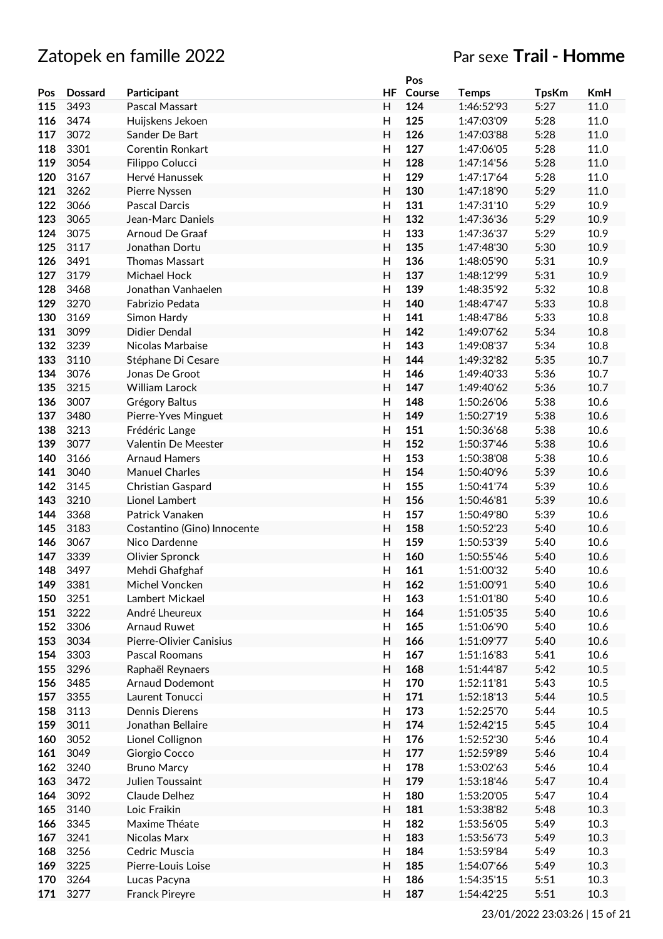|     |                |                             |                           | Pos    |              |              |            |
|-----|----------------|-----------------------------|---------------------------|--------|--------------|--------------|------------|
| Pos | <b>Dossard</b> | Participant                 | <b>HF</b>                 | Course | <b>Temps</b> | <b>TpsKm</b> | <b>KmH</b> |
| 115 | 3493           | Pascal Massart              | H                         | 124    | 1:46:52'93   | 5:27         | 11.0       |
| 116 | 3474           | Huijskens Jekoen            | H                         | 125    | 1:47:03'09   | 5:28         | 11.0       |
| 117 | 3072           | Sander De Bart              | H                         | 126    | 1:47:03'88   | 5:28         | 11.0       |
| 118 | 3301           | <b>Corentin Ronkart</b>     | H                         | 127    | 1:47:06'05   | 5:28         | 11.0       |
| 119 | 3054           | Filippo Colucci             | H                         | 128    | 1:47:14'56   | 5:28         | 11.0       |
| 120 | 3167           | Hervé Hanussek              | H                         | 129    | 1:47:17'64   | 5:28         | 11.0       |
|     |                |                             |                           |        |              |              |            |
| 121 | 3262           | Pierre Nyssen               | H                         | 130    | 1:47:18'90   | 5:29         | 11.0       |
| 122 | 3066           | Pascal Darcis               | H                         | 131    | 1:47:31'10   | 5:29         | 10.9       |
| 123 | 3065           | Jean-Marc Daniels           | H                         | 132    | 1:47:36'36   | 5:29         | 10.9       |
| 124 | 3075           | <b>Arnoud De Graaf</b>      | $\mathsf{H}%$             | 133    | 1:47:36'37   | 5:29         | 10.9       |
| 125 | 3117           | Jonathan Dortu              | H                         | 135    | 1:47:48'30   | 5:30         | 10.9       |
| 126 | 3491           | <b>Thomas Massart</b>       | $\mathsf{H}$              | 136    | 1:48:05'90   | 5:31         | 10.9       |
| 127 | 3179           | Michael Hock                | H                         | 137    | 1:48:12'99   | 5:31         | 10.9       |
| 128 | 3468           | Jonathan Vanhaelen          | H                         | 139    | 1:48:35'92   | 5:32         | 10.8       |
| 129 | 3270           | Fabrizio Pedata             | H                         | 140    | 1:48:47'47   | 5:33         | 10.8       |
| 130 | 3169           | Simon Hardy                 | H                         | 141    | 1:48:47'86   | 5:33         | 10.8       |
| 131 | 3099           | Didier Dendal               | H                         | 142    | 1:49:07'62   | 5:34         | 10.8       |
| 132 | 3239           |                             | H                         | 143    | 1:49:08'37   | 5:34         | 10.8       |
|     |                | Nicolas Marbaise            |                           |        |              |              |            |
| 133 | 3110           | Stéphane Di Cesare          | H                         | 144    | 1:49:32'82   | 5:35         | 10.7       |
| 134 | 3076           | Jonas De Groot              | H                         | 146    | 1:49:40'33   | 5:36         | 10.7       |
| 135 | 3215           | <b>William Larock</b>       | H                         | 147    | 1:49:40'62   | 5:36         | 10.7       |
| 136 | 3007           | Grégory Baltus              | $\mathsf{H}$              | 148    | 1:50:26'06   | 5:38         | 10.6       |
| 137 | 3480           | Pierre-Yves Minguet         | H                         | 149    | 1:50:27'19   | 5:38         | 10.6       |
| 138 | 3213           | Frédéric Lange              | H                         | 151    | 1:50:36'68   | 5:38         | 10.6       |
| 139 | 3077           | Valentin De Meester         | H                         | 152    | 1:50:37'46   | 5:38         | 10.6       |
| 140 | 3166           | <b>Arnaud Hamers</b>        | H                         | 153    | 1:50:38'08   | 5:38         | 10.6       |
| 141 | 3040           | <b>Manuel Charles</b>       | H                         | 154    | 1:50:40'96   | 5:39         | 10.6       |
| 142 | 3145           | Christian Gaspard           | H                         | 155    | 1:50:41'74   | 5:39         | 10.6       |
| 143 | 3210           | Lionel Lambert              | H                         | 156    | 1:50:46'81   | 5:39         | 10.6       |
| 144 | 3368           | Patrick Vanaken             | $\mathsf{H}%$             | 157    | 1:50:49'80   | 5:39         | 10.6       |
|     |                |                             |                           |        |              |              |            |
| 145 | 3183           | Costantino (Gino) Innocente | H                         | 158    | 1:50:52'23   | 5:40         | 10.6       |
| 146 | 3067           | Nico Dardenne               | $\mathsf{H}$              | 159    | 1:50:53'39   | 5:40         | 10.6       |
| 147 | 3339           | Olivier Spronck             | $\overline{H}$            | 160    | 1:50:55'46   | 5:40         | 10.6       |
| 148 | 3497           | Mehdi Ghafghaf              | $\mathsf{H}$              | 161    | 1:51:00'32   | 5:40         | 10.6       |
| 149 | 3381           | Michel Voncken              | H                         | 162    | 1:51:00'91   | 5:40         | 10.6       |
| 150 | 3251           | Lambert Mickael             | H                         | 163    | 1:51:01'80   | 5:40         | 10.6       |
| 151 | 3222           | André Lheureux              | H                         | 164    | 1:51:05'35   | 5:40         | 10.6       |
| 152 | 3306           | <b>Arnaud Ruwet</b>         | H                         | 165    | 1:51:06'90   | 5:40         | 10.6       |
| 153 | 3034           | Pierre-Olivier Canisius     | H                         | 166    | 1:51:09'77   | 5:40         | 10.6       |
| 154 | 3303           | Pascal Roomans              | H                         | 167    | 1:51:16'83   | 5:41         | 10.6       |
| 155 | 3296           | Raphaël Reynaers            | $\mathsf{H}%$             | 168    | 1:51:44'87   | 5:42         | 10.5       |
| 156 | 3485           | Arnaud Dodemont             | H                         | 170    | 1:52:11'81   | 5:43         | 10.5       |
|     | 3355           | Laurent Tonucci             | H                         | 171    |              |              | 10.5       |
| 157 |                |                             |                           |        | 1:52:18'13   | 5:44         |            |
| 158 | 3113           | Dennis Dierens              | H                         | 173    | 1:52:25'70   | 5:44         | 10.5       |
| 159 | 3011           | Jonathan Bellaire           | $\mathsf{H}%$             | 174    | 1:52:42'15   | 5:45         | 10.4       |
| 160 | 3052           | Lionel Collignon            | H                         | 176    | 1:52:52'30   | 5:46         | 10.4       |
| 161 | 3049           | Giorgio Cocco               | $\mathsf{H}%$             | 177    | 1:52:59'89   | 5:46         | 10.4       |
| 162 | 3240           | <b>Bruno Marcy</b>          | H                         | 178    | 1:53:02'63   | 5:46         | 10.4       |
| 163 | 3472           | Julien Toussaint            | $\boldsymbol{\mathsf{H}}$ | 179    | 1:53:18'46   | 5:47         | 10.4       |
| 164 | 3092           | Claude Delhez               | H                         | 180    | 1:53:20'05   | 5:47         | 10.4       |
| 165 | 3140           | Loic Fraikin                | $\mathsf{H}%$             | 181    | 1:53:38'82   | 5:48         | 10.3       |
| 166 | 3345           | Maxime Théate               | H                         | 182    | 1:53:56'05   | 5:49         | 10.3       |
| 167 | 3241           | Nicolas Marx                | H                         | 183    | 1:53:56'73   | 5:49         | 10.3       |
| 168 | 3256           | Cedric Muscia               | H                         | 184    | 1:53:59'84   | 5:49         | 10.3       |
|     |                |                             |                           |        |              |              |            |
| 169 | 3225           | Pierre-Louis Loise          | H                         | 185    | 1:54:07'66   | 5:49         | 10.3       |
| 170 | 3264           | Lucas Pacyna                | H                         | 186    | 1:54:35'15   | 5:51         | 10.3       |
| 171 | 3277           | Franck Pireyre              | H                         | 187    | 1:54:42'25   | 5:51         | 10.3       |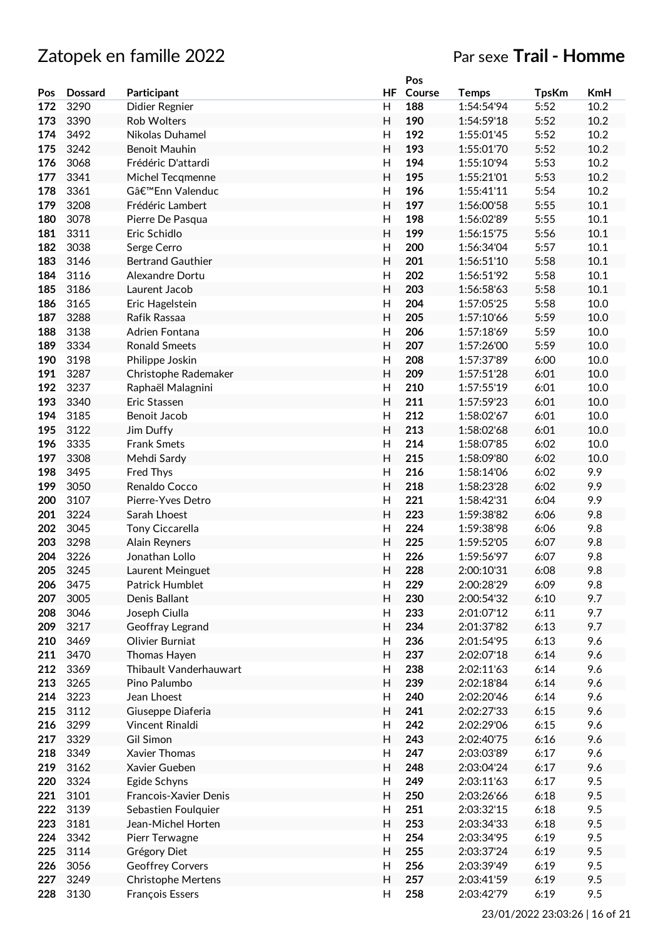|     |                |                           |                           | Pos    |              |              |      |
|-----|----------------|---------------------------|---------------------------|--------|--------------|--------------|------|
| Pos | <b>Dossard</b> | Participant               | HF                        | Course | <b>Temps</b> | <b>TpsKm</b> | KmH  |
| 172 | 3290           | Didier Regnier            | H                         | 188    | 1:54:54'94   | 5:52         | 10.2 |
| 173 | 3390           | Rob Wolters               | H                         | 190    | 1:54:59'18   | 5:52         | 10.2 |
| 174 | 3492           | Nikolas Duhamel           | H                         | 192    | 1:55:01'45   | 5:52         | 10.2 |
| 175 | 3242           | <b>Benoit Mauhin</b>      | $\mathsf{H}$              | 193    | 1:55:01'70   | 5:52         | 10.2 |
| 176 | 3068           | Frédéric D'attardi        | H                         | 194    | 1:55:10'94   | 5:53         | 10.2 |
| 177 | 3341           | Michel Tecqmenne          | Н                         | 195    | 1:55:21'01   | 5:53         | 10.2 |
|     |                |                           |                           | 196    |              |              | 10.2 |
| 178 | 3361           | G'Enn Valenduc            | H                         |        | 1:55:41'11   | 5:54         |      |
| 179 | 3208           | Frédéric Lambert          | H                         | 197    | 1:56:00'58   | 5:55         | 10.1 |
| 180 | 3078           | Pierre De Pasqua          | H                         | 198    | 1:56:02'89   | 5:55         | 10.1 |
| 181 | 3311           | Eric Schidlo              | $\overline{H}$            | 199    | 1:56:15'75   | 5:56         | 10.1 |
| 182 | 3038           | Serge Cerro               | $\mathsf{H}$              | 200    | 1:56:34'04   | 5:57         | 10.1 |
| 183 | 3146           | <b>Bertrand Gauthier</b>  | $\mathsf{H}$              | 201    | 1:56:51'10   | 5:58         | 10.1 |
| 184 | 3116           | Alexandre Dortu           | H                         | 202    | 1:56:51'92   | 5:58         | 10.1 |
| 185 | 3186           | Laurent Jacob             | $\mathsf{H}$              | 203    | 1:56:58'63   | 5:58         | 10.1 |
| 186 | 3165           | Eric Hagelstein           | $\mathsf{H}$              | 204    | 1:57:05'25   | 5:58         | 10.0 |
| 187 | 3288           | Rafik Rassaa              | $\mathsf{H}$              | 205    | 1:57:10'66   | 5:59         | 10.0 |
| 188 | 3138           | Adrien Fontana            | H                         | 206    | 1:57:18'69   | 5:59         | 10.0 |
| 189 | 3334           | <b>Ronald Smeets</b>      | H                         | 207    | 1:57:26'00   | 5:59         | 10.0 |
| 190 | 3198           |                           | $\mathsf{H}$              | 208    | 1:57:37'89   | 6:00         | 10.0 |
|     |                | Philippe Joskin           |                           |        |              |              |      |
| 191 | 3287           | Christophe Rademaker      | $\overline{H}$            | 209    | 1:57:51'28   | 6:01         | 10.0 |
| 192 | 3237           | Raphaël Malagnini         | $\mathsf{H}$              | 210    | 1:57:55'19   | 6:01         | 10.0 |
| 193 | 3340           | Eric Stassen              | H                         | 211    | 1:57:59'23   | 6:01         | 10.0 |
| 194 | 3185           | Benoit Jacob              | H                         | 212    | 1:58:02'67   | 6:01         | 10.0 |
| 195 | 3122           | Jim Duffy                 | $\mathsf{H}$              | 213    | 1:58:02'68   | 6:01         | 10.0 |
| 196 | 3335           | <b>Frank Smets</b>        | $\mathsf{H}$              | 214    | 1:58:07'85   | 6:02         | 10.0 |
| 197 | 3308           | Mehdi Sardy               | Н                         | 215    | 1:58:09'80   | 6:02         | 10.0 |
| 198 | 3495           | Fred Thys                 | H                         | 216    | 1:58:14'06   | 6:02         | 9.9  |
| 199 | 3050           | Renaldo Cocco             | $\mathsf{H}$              | 218    | 1:58:23'28   | 6:02         | 9.9  |
| 200 | 3107           | Pierre-Yves Detro         | $\mathsf{H}$              | 221    | 1:58:42'31   | 6:04         | 9.9  |
| 201 | 3224           | Sarah Lhoest              | $\overline{H}$            | 223    | 1:59:38'82   | 6:06         | 9.8  |
| 202 | 3045           |                           |                           | 224    |              |              |      |
|     |                | Tony Ciccarella           | H                         |        | 1:59:38'98   | 6:06         | 9.8  |
| 203 | 3298           | Alain Reyners             | $\mathsf{H}$              | 225    | 1:59:52'05   | 6:07         | 9.8  |
| 204 | 3226           | Jonathan Lollo            | $\mathsf{H}$              | 226    | 1:59:56'97   | 6:07         | 9.8  |
| 205 | 3245           | Laurent Meinguet          | H                         | 228    | 2:00:10'31   | 6:08         | 9.8  |
| 206 | 3475           | Patrick Humblet           | H                         | 229    | 2:00:28'29   | 6:09         | 9.8  |
| 207 | 3005           | Denis Ballant             | Н                         | 230    | 2:00:54'32   | 6:10         | 9.7  |
| 208 | 3046           | Joseph Ciulla             | H                         | 233    | 2:01:07'12   | 6:11         | 9.7  |
| 209 | 3217           | Geoffray Legrand          | H                         | 234    | 2:01:37'82   | 6:13         | 9.7  |
| 210 | 3469           | Olivier Burniat           | H                         | 236    | 2:01:54'95   | 6:13         | 9.6  |
| 211 | 3470           | Thomas Hayen              | $\boldsymbol{\mathsf{H}}$ | 237    | 2:02:07'18   | 6:14         | 9.6  |
| 212 | 3369           | Thibault Vanderhauwart    | $\mathsf{H}%$             | 238    | 2:02:11'63   | 6:14         | 9.6  |
| 213 | 3265           | Pino Palumbo              | $\mathsf{H}%$             | 239    | 2:02:18'84   | 6:14         | 9.6  |
| 214 |                | Jean Lhoest               |                           |        | 2:02:20'46   |              |      |
|     | 3223           |                           | $\mathsf{H}%$             | 240    |              | 6:14         | 9.6  |
| 215 | 3112           | Giuseppe Diaferia         | $\mathsf{H}$              | 241    | 2:02:27'33   | 6:15         | 9.6  |
| 216 | 3299           | Vincent Rinaldi           | $\mathsf{H}%$             | 242    | 2:02:29'06   | 6:15         | 9.6  |
| 217 | 3329           | Gil Simon                 | $\mathsf{H}$              | 243    | 2:02:40'75   | 6:16         | 9.6  |
| 218 | 3349           | Xavier Thomas             | H                         | 247    | 2:03:03'89   | 6:17         | 9.6  |
| 219 | 3162           | Xavier Gueben             | H                         | 248    | 2:03:04'24   | 6:17         | 9.6  |
| 220 | 3324           | Egide Schyns              | $\mathsf{H}%$             | 249    | 2:03:11'63   | 6:17         | 9.5  |
| 221 | 3101           | Francois-Xavier Denis     | $\boldsymbol{\mathsf{H}}$ | 250    | 2:03:26'66   | 6:18         | 9.5  |
| 222 | 3139           | Sebastien Foulquier       | $\mathsf{H}%$             | 251    | 2:03:32'15   | 6:18         | 9.5  |
| 223 | 3181           | Jean-Michel Horten        | H                         | 253    | 2:03:34'33   | 6:18         | 9.5  |
| 224 | 3342           | Pierr Terwagne            | H                         | 254    | 2:03:34'95   | 6:19         | 9.5  |
|     |                |                           |                           |        |              |              |      |
| 225 | 3114           | Grégory Diet              | $\mathsf{H}$              | 255    | 2:03:37'24   | 6:19         | 9.5  |
| 226 | 3056           | <b>Geoffrey Corvers</b>   | H                         | 256    | 2:03:39'49   | 6:19         | 9.5  |
| 227 | 3249           | <b>Christophe Mertens</b> | H                         | 257    | 2:03:41'59   | 6:19         | 9.5  |
| 228 | 3130           | François Essers           | H                         | 258    | 2:03:42'79   | 6:19         | 9.5  |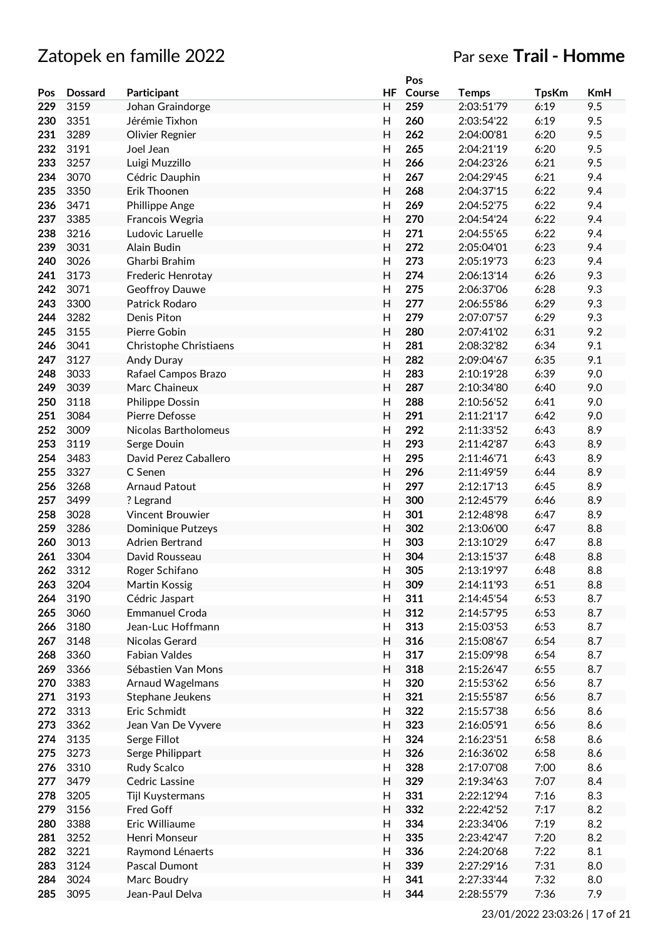|     |                |                         |                         | Pos    |              |              |            |
|-----|----------------|-------------------------|-------------------------|--------|--------------|--------------|------------|
| Pos | <b>Dossard</b> | Participant             | <b>HF</b>               | Course | <b>Temps</b> | <b>TpsKm</b> | <b>KmH</b> |
| 229 | 3159           | Johan Graindorge        | H                       | 259    | 2:03:51'79   | 6:19         | 9.5        |
| 230 | 3351           | Jérémie Tixhon          | H                       | 260    | 2:03:54'22   | 6:19         | 9.5        |
| 231 | 3289           | Olivier Regnier         | H                       | 262    | 2:04:00'81   | 6:20         | 9.5        |
| 232 | 3191           | Joel Jean               | H                       | 265    | 2:04:21'19   | 6:20         | 9.5        |
| 233 | 3257           | Luigi Muzzillo          | H                       | 266    | 2:04:23'26   | 6:21         | 9.5        |
| 234 | 3070           | Cédric Dauphin          | H                       | 267    | 2:04:29'45   | 6:21         | 9.4        |
| 235 | 3350           | Erik Thoonen            | H                       | 268    | 2:04:37'15   | 6:22         | 9.4        |
| 236 | 3471           | Phillippe Ange          | H                       | 269    | 2:04:52'75   | 6:22         | 9.4        |
| 237 | 3385           | Francois Wegria         | H                       | 270    | 2:04:54'24   | 6:22         | 9.4        |
| 238 | 3216           | Ludovic Laruelle        | H                       | 271    | 2:04:55'65   | 6:22         | 9.4        |
| 239 | 3031           | Alain Budin             | H                       | 272    | 2:05:04'01   | 6:23         | 9.4        |
| 240 | 3026           | Gharbi Brahim           | H                       | 273    | 2:05:19'73   | 6:23         | 9.4        |
| 241 | 3173           |                         | H                       | 274    | 2:06:13'14   | 6:26         | 9.3        |
|     |                | Frederic Henrotay       |                         |        |              |              |            |
| 242 | 3071           | Geoffroy Dauwe          | H                       | 275    | 2:06:37'06   | 6:28         | 9.3        |
| 243 | 3300           | Patrick Rodaro          | $\mathsf{H}$            | 277    | 2:06:55'86   | 6:29         | 9.3        |
| 244 | 3282           | Denis Piton             | H                       | 279    | 2:07:07'57   | 6:29         | 9.3        |
| 245 | 3155           | Pierre Gobin            | H                       | 280    | 2:07:41'02   | 6:31         | 9.2        |
| 246 | 3041           | Christophe Christiaens  | H                       | 281    | 2:08:32'82   | 6:34         | 9.1        |
| 247 | 3127           | Andy Duray              | H                       | 282    | 2:09:04'67   | 6:35         | 9.1        |
| 248 | 3033           | Rafael Campos Brazo     | $\overline{\mathsf{H}}$ | 283    | 2:10:19'28   | 6:39         | 9.0        |
| 249 | 3039           | Marc Chaineux           | H                       | 287    | 2:10:34'80   | 6:40         | 9.0        |
| 250 | 3118           | <b>Philippe Dossin</b>  | $\mathsf{H}$            | 288    | 2:10:56'52   | 6:41         | 9.0        |
| 251 | 3084           | Pierre Defosse          | H                       | 291    | 2:11:21'17   | 6:42         | 9.0        |
| 252 | 3009           | Nicolas Bartholomeus    | H                       | 292    | 2:11:33'52   | 6:43         | 8.9        |
| 253 | 3119           | Serge Douin             | $\mathsf{H}$            | 293    | 2:11:42'87   | 6:43         | 8.9        |
| 254 | 3483           | David Perez Caballero   | H                       | 295    | 2:11:46'71   | 6:43         | 8.9        |
| 255 | 3327           | C Senen                 | H                       | 296    | 2:11:49'59   | 6:44         | 8.9        |
| 256 | 3268           | <b>Arnaud Patout</b>    | H                       | 297    | 2:12:17'13   | 6:45         | 8.9        |
| 257 | 3499           | ? Legrand               | H                       | 300    | 2:12:45'79   | 6:46         | 8.9        |
| 258 | 3028           | Vincent Brouwier        | $\mathsf{H}$            | 301    | 2:12:48'98   | 6:47         | 8.9        |
| 259 | 3286           | Dominique Putzeys       | H                       | 302    | 2:13:06'00   | 6:47         | 8.8        |
| 260 | 3013           | Adrien Bertrand         | $\mathsf{H}$            | 303    | 2:13:10'29   | 6:47         | 8.8        |
| 261 | 3304           | David Rousseau          | $\overline{H}$          | 304    | 2:13:15'37   | 6:48         | 8.8        |
| 262 | 3312           | Roger Schifano          | H                       | 305    | 2:13:19'97   | 6:48         | 8.8        |
| 263 | 3204           | Martin Kossig           | H                       | 309    | 2:14:11'93   | 6:51         | 8.8        |
| 264 | 3190           | Cédric Jaspart          | H                       | 311    | 2:14:45'54   | 6:53         | 8.7        |
| 265 | 3060           | <b>Emmanuel Croda</b>   | H                       | 312    | 2:14:57'95   | 6:53         | 8.7        |
| 266 | 3180           | Jean-Luc Hoffmann       | H                       | 313    | 2:15:03'53   | 6:53         | 8.7        |
| 267 | 3148           | Nicolas Gerard          | H                       | 316    | 2:15:08'67   | 6:54         | 8.7        |
| 268 | 3360           | <b>Fabian Valdes</b>    | $\mathsf{H}%$           | 317    | 2:15:09'98   | 6:54         | 8.7        |
| 269 | 3366           | Sébastien Van Mons      | $\mathsf{H}%$           | 318    | 2:15:26'47   | 6:55         | 8.7        |
| 270 | 3383           | <b>Arnaud Wagelmans</b> | H                       | 320    | 2:15:53'62   | 6:56         | 8.7        |
|     |                |                         |                         | 321    |              |              |            |
| 271 | 3193           | Stephane Jeukens        | $\mathsf{H}%$           |        | 2:15:55'87   | 6:56         | 8.7        |
| 272 | 3313           | Eric Schmidt            | H                       | 322    | 2:15:57'38   | 6:56         | 8.6        |
| 273 | 3362           | Jean Van De Vyvere      | $\mathsf{H}%$           | 323    | 2:16:05'91   | 6:56         | 8.6        |
| 274 | 3135           | Serge Fillot            | H                       | 324    | 2:16:23'51   | 6:58         | 8.6        |
| 275 | 3273           | Serge Philippart        | $\mathsf{H}%$           | 326    | 2:16:36'02   | 6:58         | 8.6        |
| 276 | 3310           | Rudy Scalco             | H                       | 328    | 2:17:07'08   | 7:00         | 8.6        |
| 277 | 3479           | Cedric Lassine          | H                       | 329    | 2:19:34'63   | 7:07         | 8.4        |
| 278 | 3205           | Tijl Kuystermans        | $\mathsf{H}%$           | 331    | 2:22:12'94   | 7:16         | 8.3        |
| 279 | 3156           | <b>Fred Goff</b>        | $\mathsf{H}%$           | 332    | 2:22:42'52   | 7:17         | 8.2        |
| 280 | 3388           | Eric Williaume          | $\mathsf{H}%$           | 334    | 2:23:34'06   | 7:19         | 8.2        |
| 281 | 3252           | Henri Monseur           | H                       | 335    | 2:23:42'47   | 7:20         | 8.2        |
| 282 | 3221           | Raymond Lénaerts        | $\mathsf{H}%$           | 336    | 2:24:20'68   | 7:22         | 8.1        |
| 283 | 3124           | Pascal Dumont           | H                       | 339    | 2:27:29'16   | 7:31         | 8.0        |
| 284 | 3024           | Marc Boudry             | H                       | 341    | 2:27:33'44   | 7:32         | 8.0        |
| 285 | 3095           | Jean-Paul Delva         | H                       | 344    | 2:28:55'79   | 7:36         | 7.9        |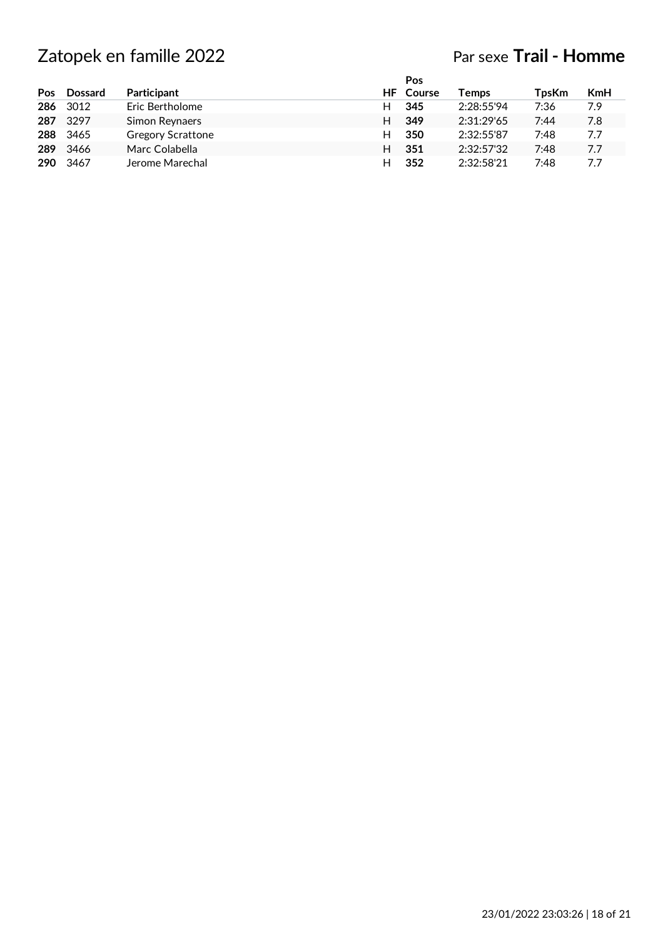|     |                |                          |   | Pos              |            |              |            |
|-----|----------------|--------------------------|---|------------------|------------|--------------|------------|
| Pos | <b>Dossard</b> | Participant              |   | <b>HF</b> Course | Temps      | <b>TpsKm</b> | <b>KmH</b> |
| 286 | 3012           | Eric Bertholome          | н | 345              | 2:28:55'94 | 7:36         | 7.9        |
| 287 | 3297           | Simon Reynaers           | H | 349              | 2:31:29'65 | 7:44         | 7.8        |
| 288 | 3465           | <b>Gregory Scrattone</b> | н | 350              | 2:32:55'87 | 7:48         | 7.7        |
| 289 | 3466           | Marc Colabella           | н | 351              | 2:32:57'32 | 7:48         | 7.7        |
| 290 | 3467           | Jerome Marechal          | н | 352              | 2:32:58'21 | 7:48         | 7.7        |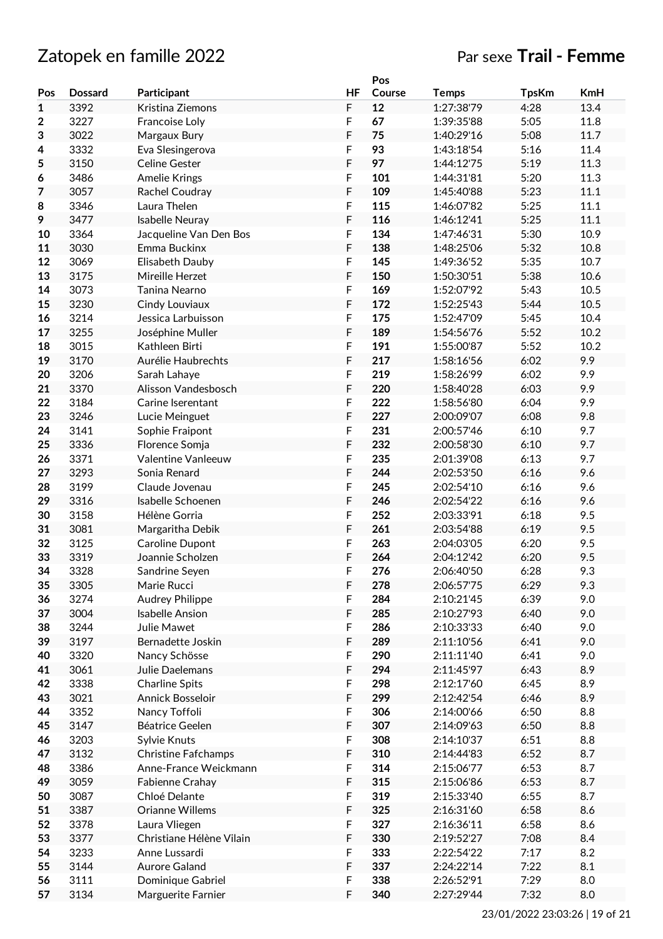# Zatopek en famille 2022 Par sexe **Trail - Femme**

|     |                |                            |           | Pos    |              |              |            |
|-----|----------------|----------------------------|-----------|--------|--------------|--------------|------------|
| Pos | <b>Dossard</b> | Participant                | <b>HF</b> | Course | <b>Temps</b> | <b>TpsKm</b> | <b>KmH</b> |
| 1   | 3392           | Kristina Ziemons           | F         | 12     | 1:27:38'79   | 4:28         | 13.4       |
| 2   | 3227           | Francoise Loly             | F         | 67     | 1:39:35'88   | 5:05         | 11.8       |
| 3   | 3022           | Margaux Bury               | F         | 75     | 1:40:29'16   | 5:08         | 11.7       |
| 4   | 3332           | Eva Slesingerova           | F         | 93     | 1:43:18'54   | 5:16         | 11.4       |
| 5   | 3150           | <b>Celine Gester</b>       | F         | 97     | 1:44:12'75   | 5:19         | 11.3       |
| 6   | 3486           | <b>Amelie Krings</b>       | F         | 101    | 1:44:31'81   | 5:20         | 11.3       |
| 7   | 3057           |                            | F         | 109    |              | 5:23         | 11.1       |
|     |                | Rachel Coudray             |           |        | 1:45:40'88   |              |            |
| 8   | 3346           | Laura Thelen               | F         | 115    | 1:46:07'82   | 5:25         | 11.1       |
| 9   | 3477           | Isabelle Neuray            | F         | 116    | 1:46:12'41   | 5:25         | 11.1       |
| 10  | 3364           | Jacqueline Van Den Bos     | F         | 134    | 1:47:46'31   | 5:30         | 10.9       |
| 11  | 3030           | Emma Buckinx               | F         | 138    | 1:48:25'06   | 5:32         | 10.8       |
| 12  | 3069           | Elisabeth Dauby            | F         | 145    | 1:49:36'52   | 5:35         | 10.7       |
| 13  | 3175           | Mireille Herzet            | F         | 150    | 1:50:30'51   | 5:38         | 10.6       |
| 14  | 3073           | Tanina Nearno              | F         | 169    | 1:52:07'92   | 5:43         | 10.5       |
| 15  | 3230           | Cindy Louviaux             | F         | 172    | 1:52:25'43   | 5:44         | 10.5       |
| 16  | 3214           | Jessica Larbuisson         | F         | 175    | 1:52:47'09   | 5:45         | 10.4       |
| 17  | 3255           | Joséphine Muller           | F         | 189    | 1:54:56'76   | 5:52         | 10.2       |
| 18  | 3015           | Kathleen Birti             | F         | 191    | 1:55:00'87   | 5:52         | 10.2       |
| 19  | 3170           | Aurélie Haubrechts         | F         | 217    | 1:58:16'56   | 6:02         | 9.9        |
| 20  | 3206           | Sarah Lahaye               | F         | 219    | 1:58:26'99   | 6:02         | 9.9        |
| 21  | 3370           | Alisson Vandesbosch        | F         | 220    | 1:58:40'28   | 6:03         | 9.9        |
|     |                |                            |           |        |              |              |            |
| 22  | 3184           | Carine Iserentant          | F         | 222    | 1:58:56'80   | 6:04         | 9.9        |
| 23  | 3246           | Lucie Meinguet             | F         | 227    | 2:00:09'07   | 6:08         | 9.8        |
| 24  | 3141           | Sophie Fraipont            | F         | 231    | 2:00:57'46   | 6:10         | 9.7        |
| 25  | 3336           | Florence Somja             | F         | 232    | 2:00:58'30   | 6:10         | 9.7        |
| 26  | 3371           | Valentine Vanleeuw         | F         | 235    | 2:01:39'08   | 6:13         | 9.7        |
| 27  | 3293           | Sonia Renard               | F         | 244    | 2:02:53'50   | 6:16         | 9.6        |
| 28  | 3199           | Claude Jovenau             | F         | 245    | 2:02:54'10   | 6:16         | 9.6        |
| 29  | 3316           | Isabelle Schoenen          | F         | 246    | 2:02:54'22   | 6:16         | 9.6        |
| 30  | 3158           | Hélène Gorria              | F         | 252    | 2:03:33'91   | 6:18         | 9.5        |
| 31  | 3081           | Margaritha Debik           | F         | 261    | 2:03:54'88   | 6:19         | 9.5        |
| 32  | 3125           | <b>Caroline Dupont</b>     | F         | 263    | 2:04:03'05   | 6:20         | 9.5        |
| 33  | 3319           | Joannie Scholzen           | F         | 264    | 2:04:12'42   | 6:20         | 9.5        |
| 34  | 3328           | Sandrine Seyen             | F         | 276    | 2:06:40'50   | 6:28         | 9.3        |
| 35  | 3305           | Marie Rucci                | F         | 278    | 2:06:57'75   | 6:29         | 9.3        |
| 36  | 3274           |                            | F         | 284    | 2:10:21'45   | 6:39         | 9.0        |
|     |                | <b>Audrey Philippe</b>     |           |        |              |              |            |
| 37  | 3004           | <b>Isabelle Ansion</b>     | F         | 285    | 2:10:27'93   | 6:40         | 9.0        |
| 38  | 3244           | Julie Mawet                | F         | 286    | 2:10:33'33   | 6:40         | 9.0        |
| 39  | 3197           | Bernadette Joskin          | F         | 289    | 2:11:10'56   | 6:41         | 9.0        |
| 40  | 3320           | Nancy Schösse              | F         | 290    | 2:11:11'40   | 6:41         | 9.0        |
| 41  | 3061           | Julie Daelemans            | F         | 294    | 2:11:45'97   | 6:43         | 8.9        |
| 42  | 3338           | <b>Charline Spits</b>      | F         | 298    | 2:12:17'60   | 6:45         | 8.9        |
| 43  | 3021           | Annick Bosseloir           | F         | 299    | 2:12:42'54   | 6:46         | 8.9        |
| 44  | 3352           | Nancy Toffoli              | F         | 306    | 2:14:00'66   | 6:50         | 8.8        |
| 45  | 3147           | Béatrice Geelen            | F         | 307    | 2:14:09'63   | 6:50         | 8.8        |
| 46  | 3203           | Sylvie Knuts               | F         | 308    | 2:14:10'37   | 6:51         | 8.8        |
| 47  | 3132           | <b>Christine Fafchamps</b> | F         | 310    | 2:14:44'83   | 6:52         | 8.7        |
| 48  | 3386           | Anne-France Weickmann      | F         | 314    | 2:15:06'77   | 6:53         | 8.7        |
| 49  | 3059           | Fabienne Crahay            | F         | 315    | 2:15:06'86   | 6:53         | 8.7        |
| 50  | 3087           | Chloé Delante              | F         | 319    | 2:15:33'40   | 6:55         | 8.7        |
|     |                |                            | F         |        |              |              |            |
| 51  | 3387           | Orianne Willems            |           | 325    | 2:16:31'60   | 6:58         | 8.6        |
| 52  | 3378           | Laura Vliegen              | F         | 327    | 2:16:36'11   | 6:58         | 8.6        |
| 53  | 3377           | Christiane Hélène Vilain   | F         | 330    | 2:19:52'27   | 7:08         | 8.4        |
| 54  | 3233           | Anne Lussardi              | F         | 333    | 2:22:54'22   | 7:17         | 8.2        |
| 55  | 3144           | <b>Aurore Galand</b>       | F         | 337    | 2:24:22'14   | 7:22         | 8.1        |
| 56  | 3111           | Dominique Gabriel          | F         | 338    | 2:26:52'91   | 7:29         | 8.0        |
| 57  | 3134           | Marguerite Farnier         | F         | 340    | 2:27:29'44   | 7:32         | 8.0        |